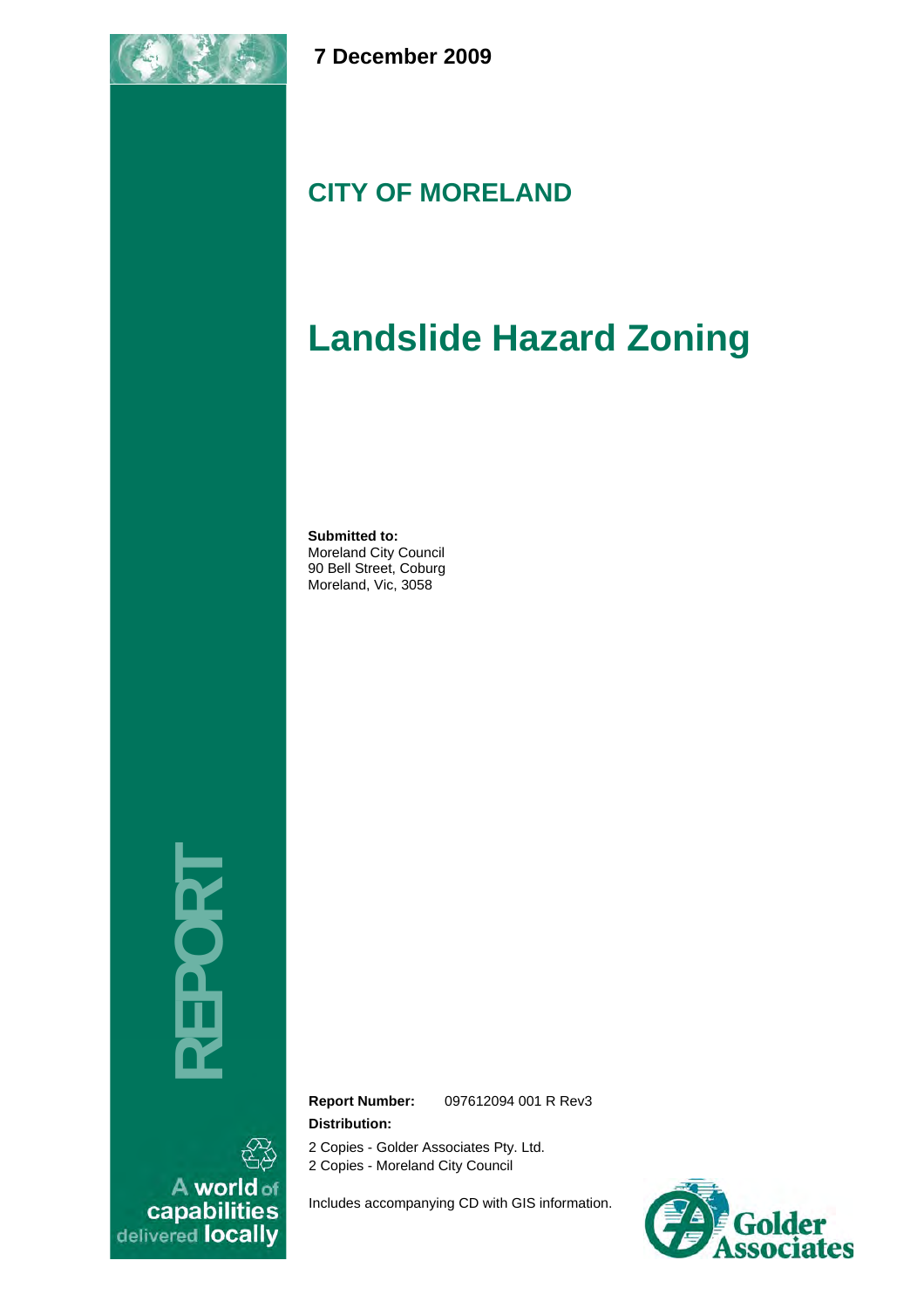

 **7 December 2009** 

# **CITY OF MORELAND**

# **Landslide Hazard Zoning**

**Submitted to:** Moreland City Council 90 Bell Street, Coburg Moreland, Vic, 3058

**REPORT** 

A world of<br>capabilities<br>delivered locally

**Report Number:** 097612094 001 R Rev3 **Distribution:** 

2 Copies - Golder Associates Pty. Ltd.

2 Copies - Moreland City Council

Includes accompanying CD with GIS information.

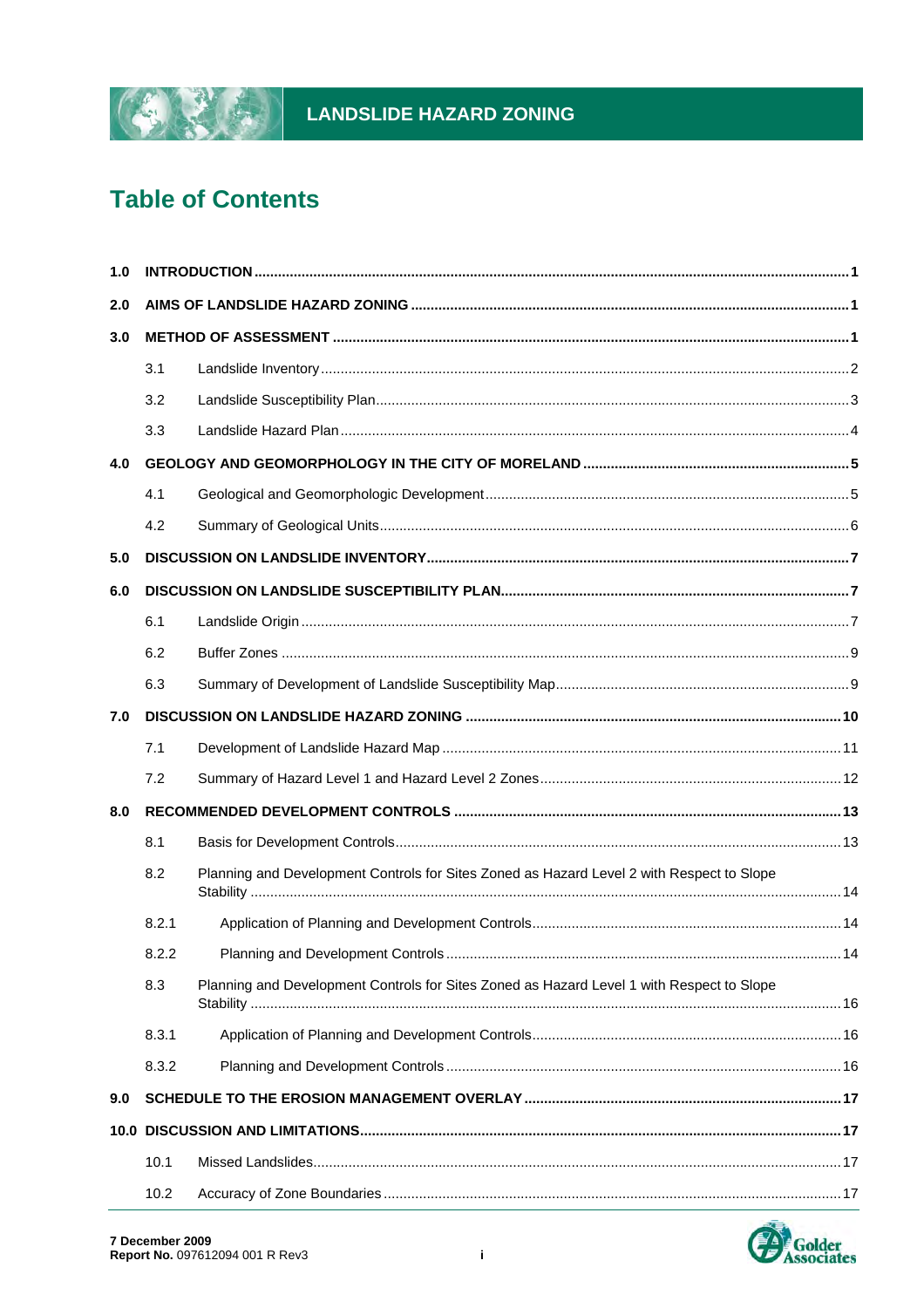

# LANDSLIDE HAZARD ZONING

# **Table of Contents**

| 1.0 |       |                                                                                           |      |  |
|-----|-------|-------------------------------------------------------------------------------------------|------|--|
| 2.0 |       |                                                                                           |      |  |
| 3.0 |       |                                                                                           |      |  |
|     | 3.1   |                                                                                           |      |  |
|     | 3.2   |                                                                                           |      |  |
|     | 3.3   |                                                                                           |      |  |
| 4.0 |       |                                                                                           |      |  |
|     | 4.1   |                                                                                           |      |  |
|     | 4.2   |                                                                                           |      |  |
| 5.0 |       |                                                                                           |      |  |
| 6.0 |       |                                                                                           |      |  |
|     | 6.1   |                                                                                           |      |  |
|     | 6.2   |                                                                                           |      |  |
|     | 6.3   |                                                                                           |      |  |
| 7.0 |       |                                                                                           |      |  |
|     | 7.1   |                                                                                           |      |  |
|     | 7.2   |                                                                                           |      |  |
| 8.0 |       |                                                                                           |      |  |
|     | 8.1   |                                                                                           |      |  |
|     | 8.2   | Planning and Development Controls for Sites Zoned as Hazard Level 2 with Respect to Slope |      |  |
|     | 8.2.1 |                                                                                           |      |  |
|     | 8.2.2 |                                                                                           | . 14 |  |
|     | 8.3   | Planning and Development Controls for Sites Zoned as Hazard Level 1 with Respect to Slope |      |  |
|     | 8.3.1 |                                                                                           |      |  |
|     | 8.3.2 |                                                                                           |      |  |
| 9.0 |       |                                                                                           |      |  |
|     |       |                                                                                           |      |  |
|     | 10.1  |                                                                                           |      |  |
|     | 10.2  |                                                                                           |      |  |

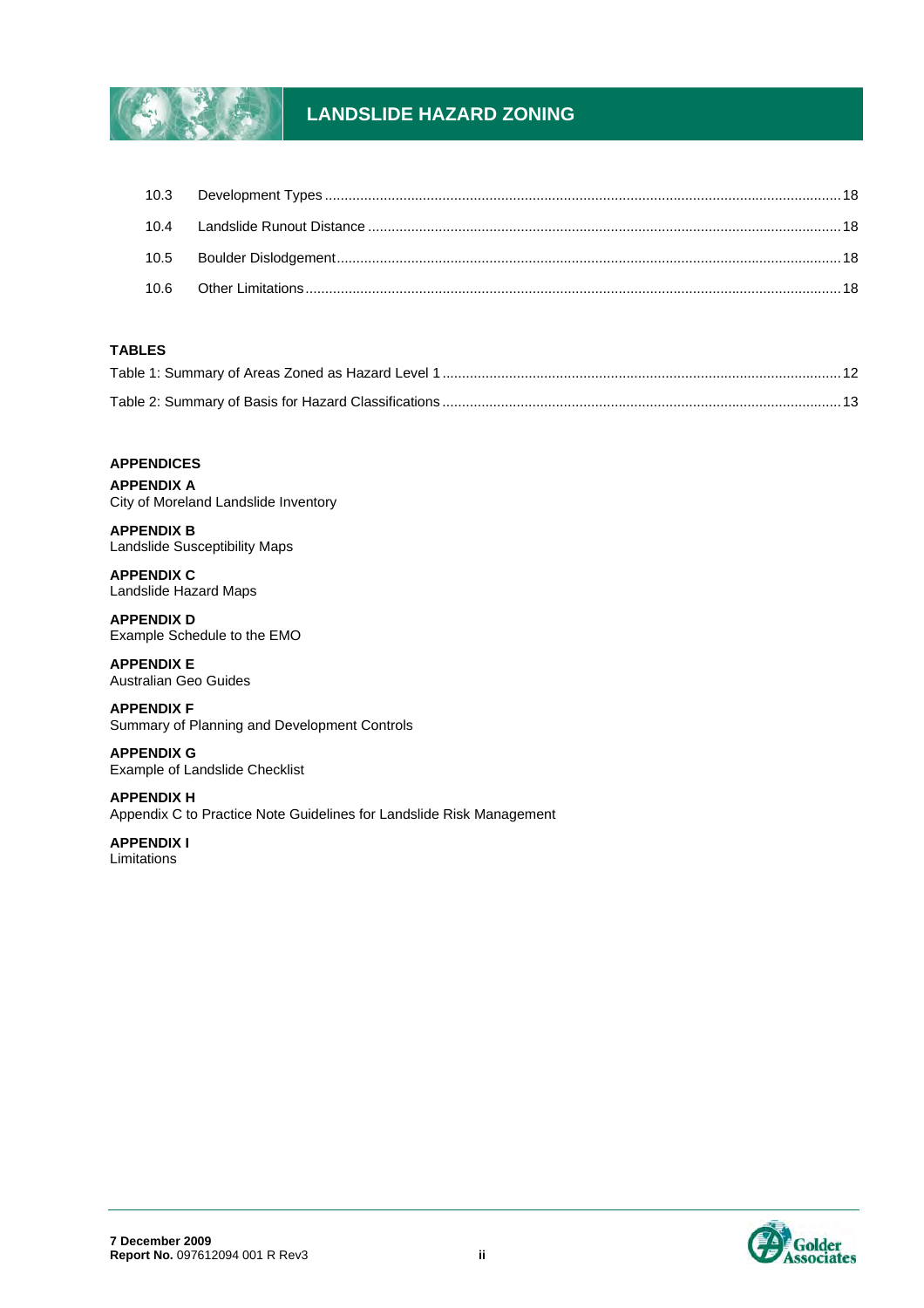

# **LANDSLIDE HAZARD ZONING**

#### **TABLES**

#### **APPENDICES**

**APPENDIX A** City of Moreland Landslide Inventory

**APPENDIX B** Landslide Susceptibility Maps

**APPENDIX C** Landslide Hazard Maps

**APPENDIX D** Example Schedule to the EMO

**APPENDIX E** Australian Geo Guides

**APPENDIX F** Summary of Planning and Development Controls

**APPENDIX G** Example of Landslide Checklist

**APPENDIX H** Appendix C to Practice Note Guidelines for Landslide Risk Management

**APPENDIX I** Limitations

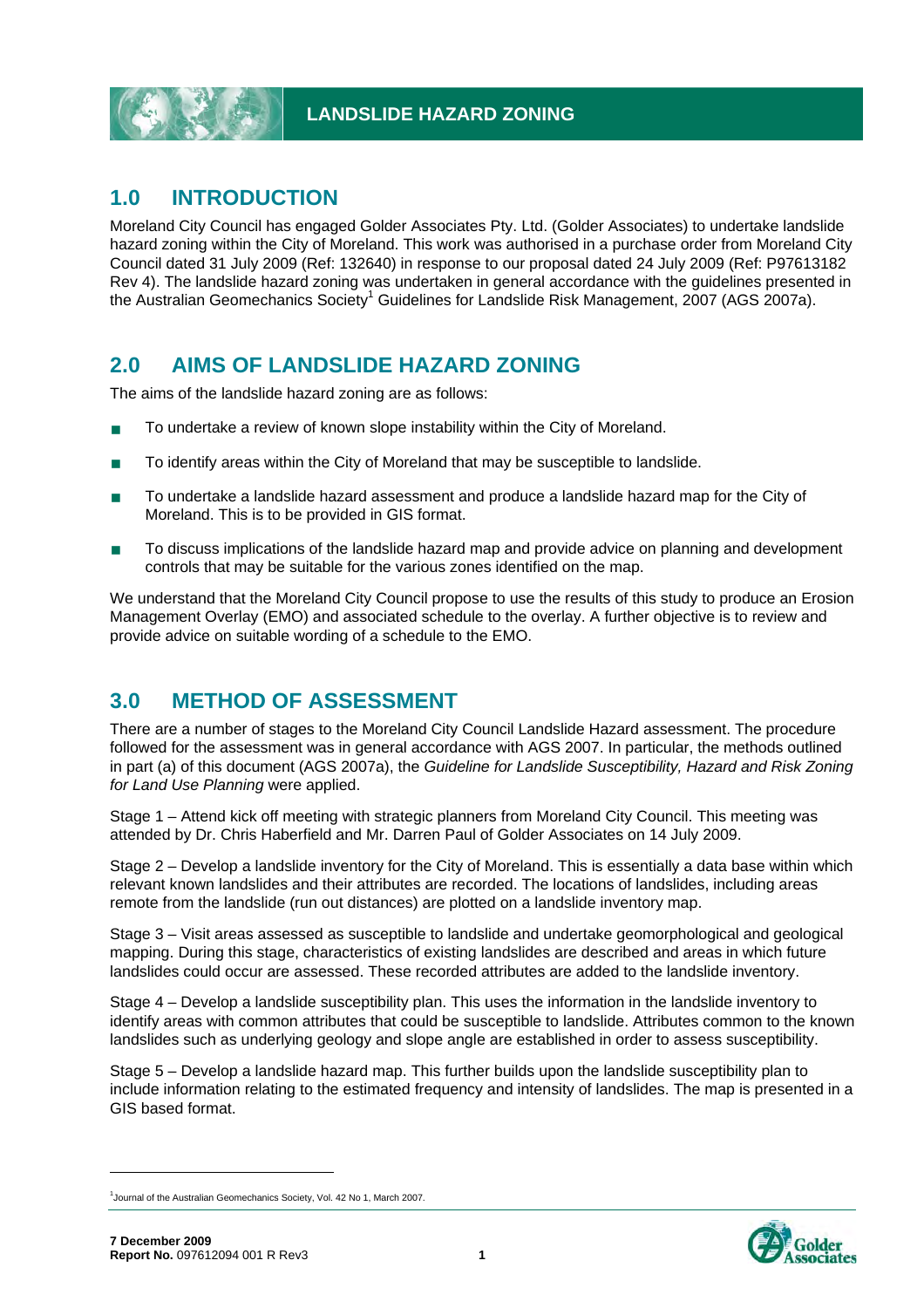

# **1.0 INTRODUCTION**

Moreland City Council has engaged Golder Associates Pty. Ltd. (Golder Associates) to undertake landslide hazard zoning within the City of Moreland. This work was authorised in a purchase order from Moreland City Council dated 31 July 2009 (Ref: 132640) in response to our proposal dated 24 July 2009 (Ref: P97613182 Rev 4). The landslide hazard zoning was undertaken in general accordance with the guidelines presented in the Australian Geomechanics Society<sup>1</sup> Guidelines for Landslide Risk Management, 2007 (AGS 2007a).

# **2.0 AIMS OF LANDSLIDE HAZARD ZONING**

The aims of the landslide hazard zoning are as follows:

- To undertake a review of known slope instability within the City of Moreland.
- To identify areas within the City of Moreland that may be susceptible to landslide.
- To undertake a landslide hazard assessment and produce a landslide hazard map for the City of Moreland. This is to be provided in GIS format.
- To discuss implications of the landslide hazard map and provide advice on planning and development controls that may be suitable for the various zones identified on the map.

We understand that the Moreland City Council propose to use the results of this study to produce an Erosion Management Overlay (EMO) and associated schedule to the overlay. A further objective is to review and provide advice on suitable wording of a schedule to the EMO.

# **3.0 METHOD OF ASSESSMENT**

There are a number of stages to the Moreland City Council Landslide Hazard assessment. The procedure followed for the assessment was in general accordance with AGS 2007. In particular, the methods outlined in part (a) of this document (AGS 2007a), the *Guideline for Landslide Susceptibility, Hazard and Risk Zoning for Land Use Planning* were applied.

Stage 1 – Attend kick off meeting with strategic planners from Moreland City Council. This meeting was attended by Dr. Chris Haberfield and Mr. Darren Paul of Golder Associates on 14 July 2009.

Stage 2 – Develop a landslide inventory for the City of Moreland. This is essentially a data base within which relevant known landslides and their attributes are recorded. The locations of landslides, including areas remote from the landslide (run out distances) are plotted on a landslide inventory map.

Stage 3 – Visit areas assessed as susceptible to landslide and undertake geomorphological and geological mapping. During this stage, characteristics of existing landslides are described and areas in which future landslides could occur are assessed. These recorded attributes are added to the landslide inventory.

Stage 4 – Develop a landslide susceptibility plan. This uses the information in the landslide inventory to identify areas with common attributes that could be susceptible to landslide. Attributes common to the known landslides such as underlying geology and slope angle are established in order to assess susceptibility.

Stage 5 – Develop a landslide hazard map. This further builds upon the landslide susceptibility plan to include information relating to the estimated frequency and intensity of landslides. The map is presented in a GIS based format.

-



<sup>&</sup>lt;sup>1</sup>Journal of the Australian Geomechanics Society, Vol. 42 No 1, March 2007.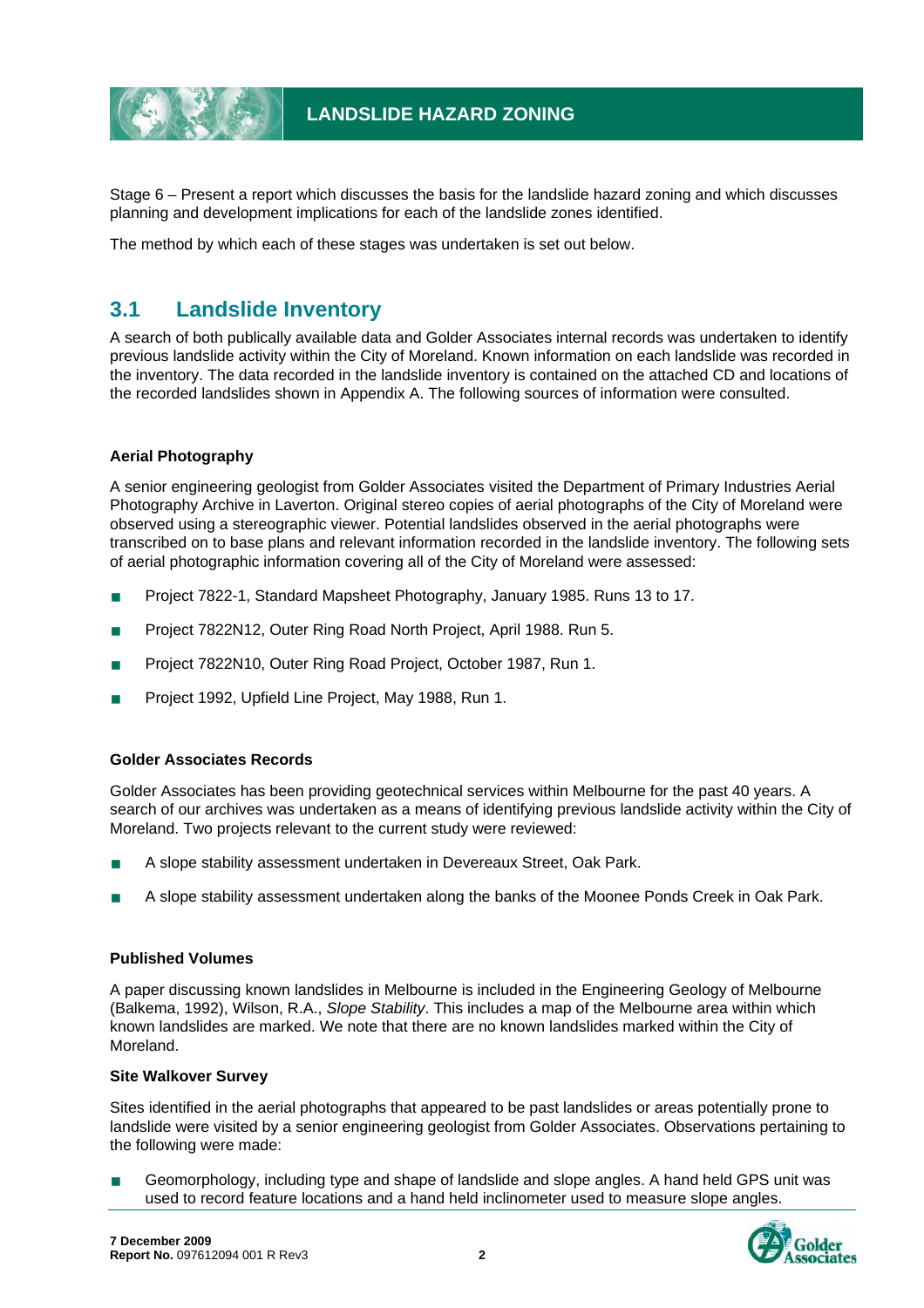

Stage 6 – Present a report which discusses the basis for the landslide hazard zoning and which discusses planning and development implications for each of the landslide zones identified.

The method by which each of these stages was undertaken is set out below.

# **3.1 Landslide Inventory**

A search of both publically available data and Golder Associates internal records was undertaken to identify previous landslide activity within the City of Moreland. Known information on each landslide was recorded in the inventory. The data recorded in the landslide inventory is contained on the attached CD and locations of the recorded landslides shown in Appendix A. The following sources of information were consulted.

#### **Aerial Photography**

A senior engineering geologist from Golder Associates visited the Department of Primary Industries Aerial Photography Archive in Laverton. Original stereo copies of aerial photographs of the City of Moreland were observed using a stereographic viewer. Potential landslides observed in the aerial photographs were transcribed on to base plans and relevant information recorded in the landslide inventory. The following sets of aerial photographic information covering all of the City of Moreland were assessed:

- Project 7822-1, Standard Mapsheet Photography, January 1985. Runs 13 to 17.
- Project 7822N12, Outer Ring Road North Project, April 1988. Run 5.
- Project 7822N10, Outer Ring Road Project, October 1987, Run 1.
- Project 1992, Upfield Line Project, May 1988, Run 1.

#### **Golder Associates Records**

Golder Associates has been providing geotechnical services within Melbourne for the past 40 years. A search of our archives was undertaken as a means of identifying previous landslide activity within the City of Moreland. Two projects relevant to the current study were reviewed:

- A slope stability assessment undertaken in Devereaux Street, Oak Park.
- A slope stability assessment undertaken along the banks of the Moonee Ponds Creek in Oak Park.

#### **Published Volumes**

A paper discussing known landslides in Melbourne is included in the Engineering Geology of Melbourne (Balkema, 1992), Wilson, R.A., *Slope Stability*. This includes a map of the Melbourne area within which known landslides are marked. We note that there are no known landslides marked within the City of Moreland.

#### **Site Walkover Survey**

Sites identified in the aerial photographs that appeared to be past landslides or areas potentially prone to landslide were visited by a senior engineering geologist from Golder Associates. Observations pertaining to the following were made:

 Geomorphology, including type and shape of landslide and slope angles. A hand held GPS unit was used to record feature locations and a hand held inclinometer used to measure slope angles.

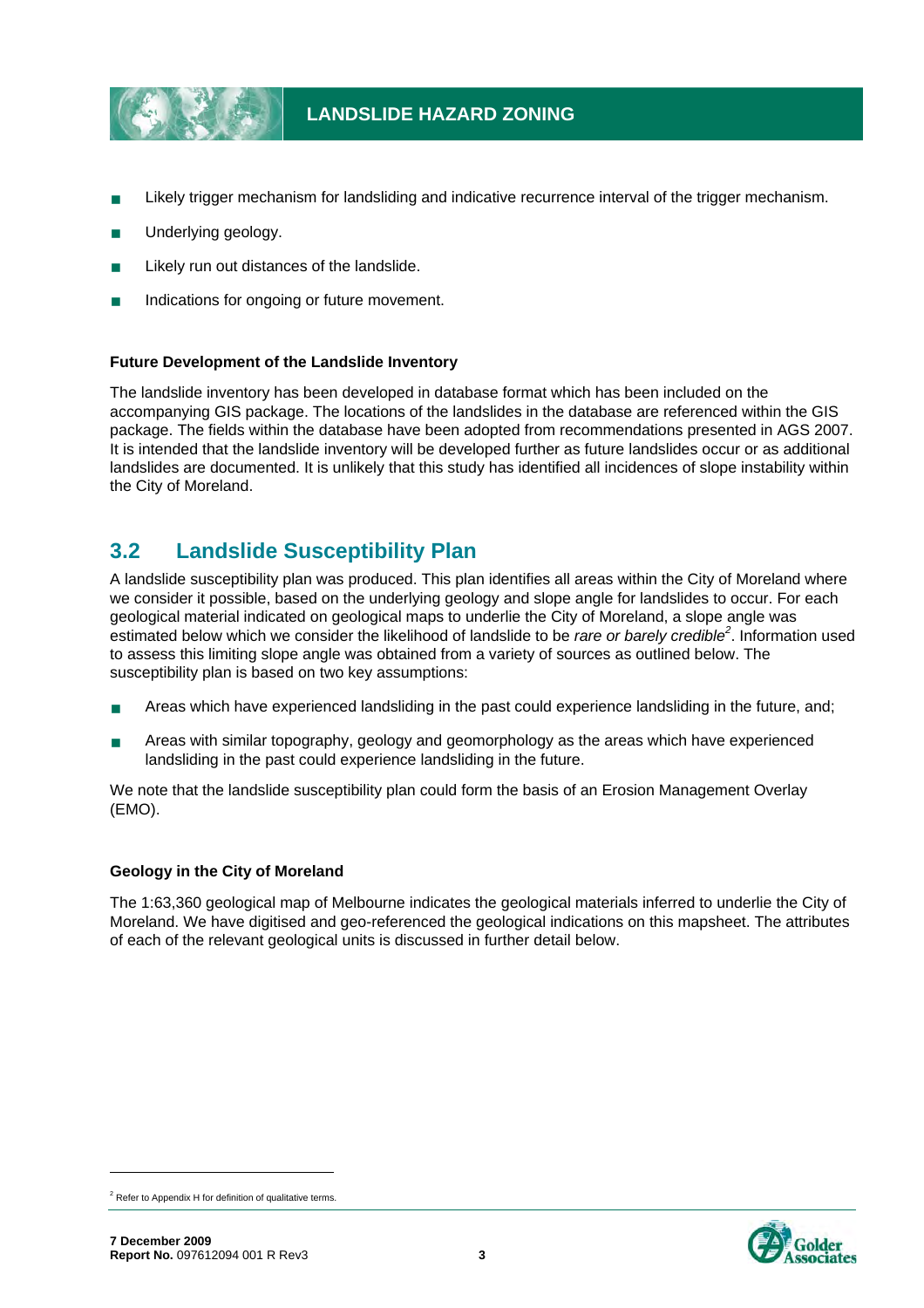

- Likely trigger mechanism for landsliding and indicative recurrence interval of the trigger mechanism.
- Underlying geology.
- Likely run out distances of the landslide.
- Indications for ongoing or future movement.

#### **Future Development of the Landslide Inventory**

The landslide inventory has been developed in database format which has been included on the accompanying GIS package. The locations of the landslides in the database are referenced within the GIS package. The fields within the database have been adopted from recommendations presented in AGS 2007. It is intended that the landslide inventory will be developed further as future landslides occur or as additional landslides are documented. It is unlikely that this study has identified all incidences of slope instability within the City of Moreland.

# **3.2 Landslide Susceptibility Plan**

A landslide susceptibility plan was produced. This plan identifies all areas within the City of Moreland where we consider it possible, based on the underlying geology and slope angle for landslides to occur. For each geological material indicated on geological maps to underlie the City of Moreland, a slope angle was estimated below which we consider the likelihood of landslide to be *rare or barely credible<sup>2</sup>* . Information used to assess this limiting slope angle was obtained from a variety of sources as outlined below. The susceptibility plan is based on two key assumptions:

- **Areas which have experienced landsliding in the past could experience landsliding in the future, and;**
- **Areas with similar topography, geology and geomorphology as the areas which have experienced** landsliding in the past could experience landsliding in the future.

We note that the landslide susceptibility plan could form the basis of an Erosion Management Overlay (EMO).

#### **Geology in the City of Moreland**

The 1:63,360 geological map of Melbourne indicates the geological materials inferred to underlie the City of Moreland. We have digitised and geo-referenced the geological indications on this mapsheet. The attributes of each of the relevant geological units is discussed in further detail below.

-



 $2$  Refer to Appendix H for definition of qualitative terms.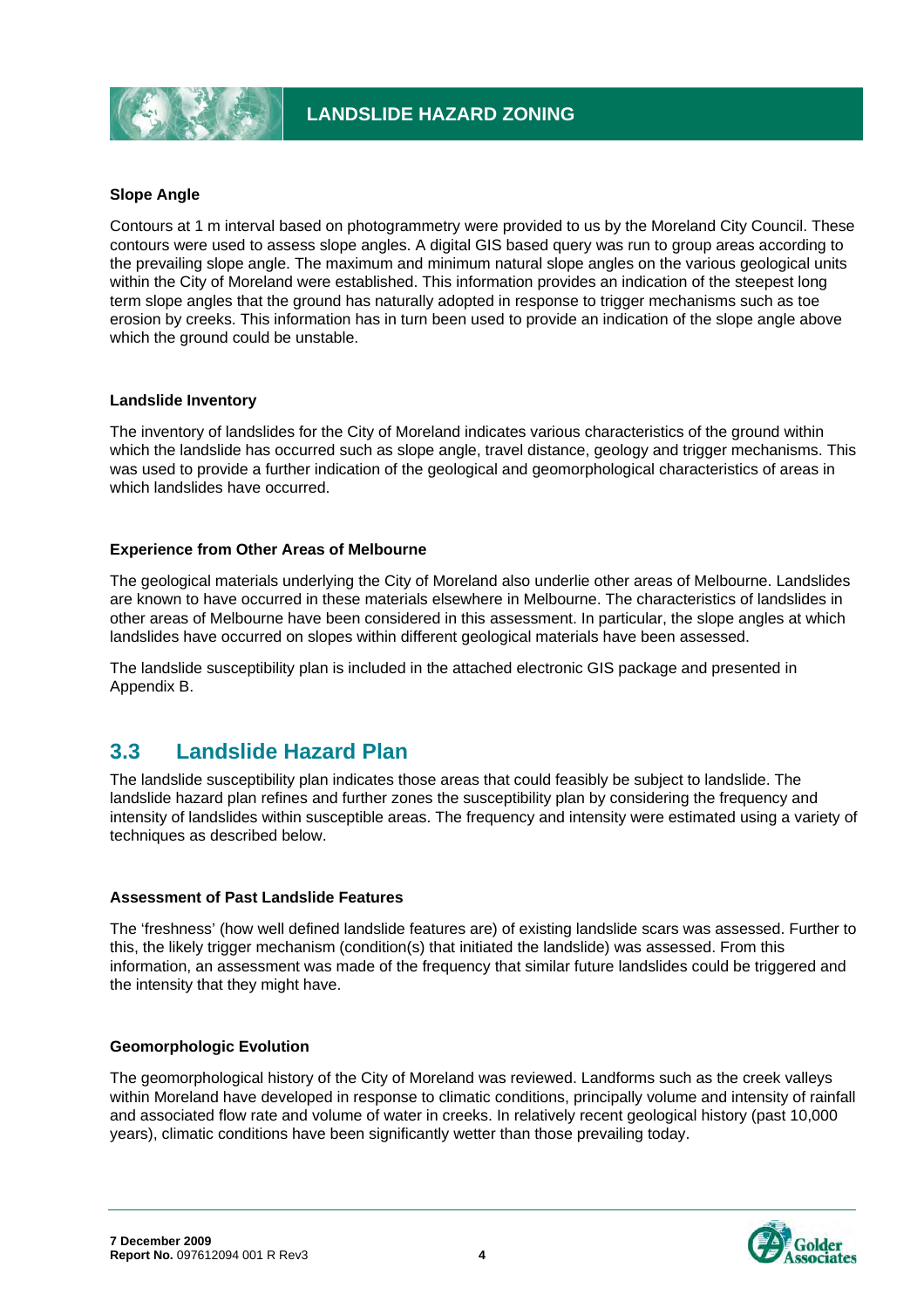

#### **Slope Angle**

Contours at 1 m interval based on photogrammetry were provided to us by the Moreland City Council. These contours were used to assess slope angles. A digital GIS based query was run to group areas according to the prevailing slope angle. The maximum and minimum natural slope angles on the various geological units within the City of Moreland were established. This information provides an indication of the steepest long term slope angles that the ground has naturally adopted in response to trigger mechanisms such as toe erosion by creeks. This information has in turn been used to provide an indication of the slope angle above which the ground could be unstable.

#### **Landslide Inventory**

The inventory of landslides for the City of Moreland indicates various characteristics of the ground within which the landslide has occurred such as slope angle, travel distance, geology and trigger mechanisms. This was used to provide a further indication of the geological and geomorphological characteristics of areas in which landslides have occurred.

#### **Experience from Other Areas of Melbourne**

The geological materials underlying the City of Moreland also underlie other areas of Melbourne. Landslides are known to have occurred in these materials elsewhere in Melbourne. The characteristics of landslides in other areas of Melbourne have been considered in this assessment. In particular, the slope angles at which landslides have occurred on slopes within different geological materials have been assessed.

The landslide susceptibility plan is included in the attached electronic GIS package and presented in Appendix B.

# **3.3 Landslide Hazard Plan**

The landslide susceptibility plan indicates those areas that could feasibly be subject to landslide. The landslide hazard plan refines and further zones the susceptibility plan by considering the frequency and intensity of landslides within susceptible areas. The frequency and intensity were estimated using a variety of techniques as described below.

#### **Assessment of Past Landslide Features**

The 'freshness' (how well defined landslide features are) of existing landslide scars was assessed. Further to this, the likely trigger mechanism (condition(s) that initiated the landslide) was assessed. From this information, an assessment was made of the frequency that similar future landslides could be triggered and the intensity that they might have.

#### **Geomorphologic Evolution**

The geomorphological history of the City of Moreland was reviewed. Landforms such as the creek valleys within Moreland have developed in response to climatic conditions, principally volume and intensity of rainfall and associated flow rate and volume of water in creeks. In relatively recent geological history (past 10,000 years), climatic conditions have been significantly wetter than those prevailing today.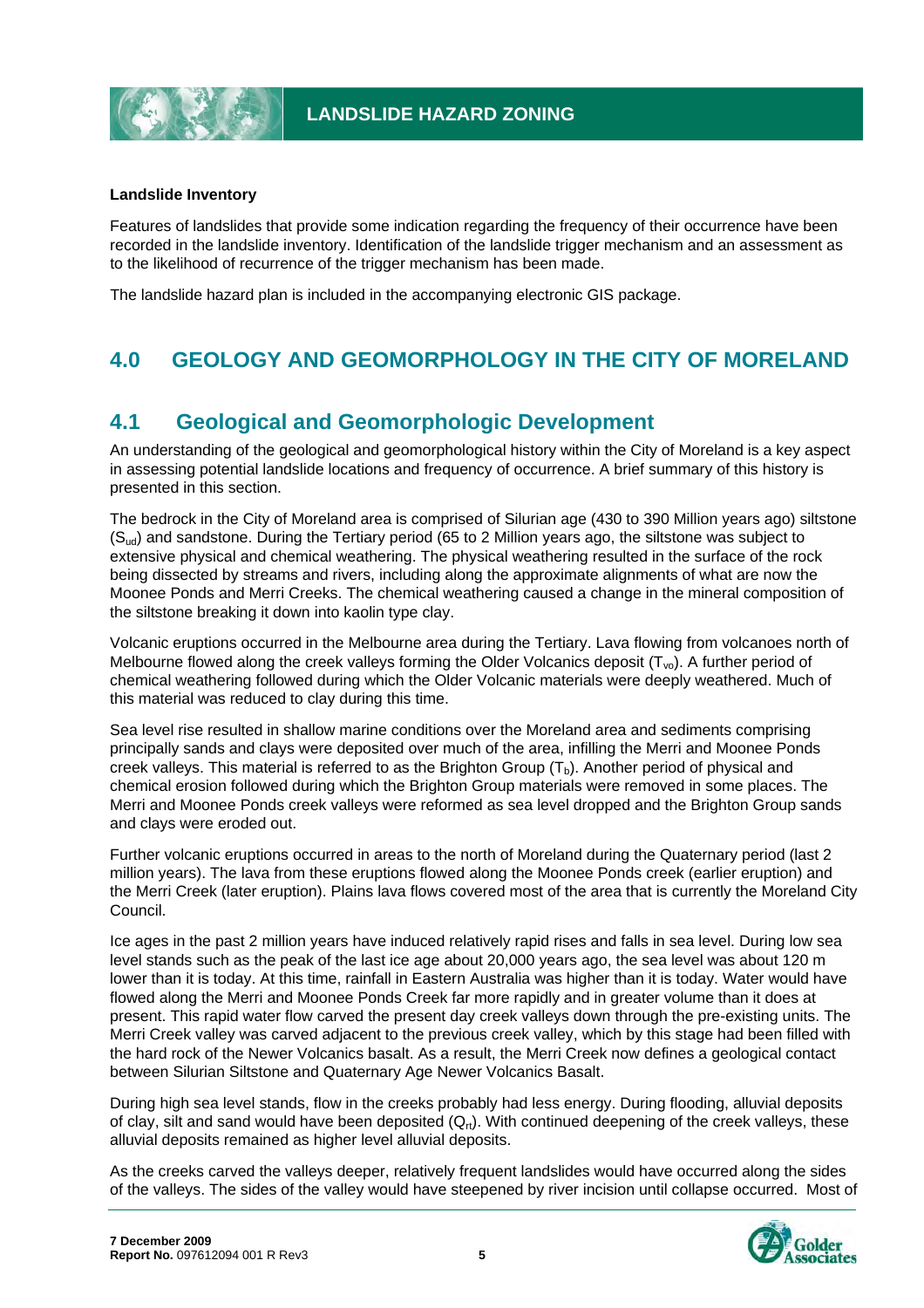

#### **Landslide Inventory**

Features of landslides that provide some indication regarding the frequency of their occurrence have been recorded in the landslide inventory. Identification of the landslide trigger mechanism and an assessment as to the likelihood of recurrence of the trigger mechanism has been made.

The landslide hazard plan is included in the accompanying electronic GIS package.

# **4.0 GEOLOGY AND GEOMORPHOLOGY IN THE CITY OF MORELAND**

# **4.1 Geological and Geomorphologic Development**

An understanding of the geological and geomorphological history within the City of Moreland is a key aspect in assessing potential landslide locations and frequency of occurrence. A brief summary of this history is presented in this section.

The bedrock in the City of Moreland area is comprised of Silurian age (430 to 390 Million years ago) siltstone (Sud) and sandstone. During the Tertiary period (65 to 2 Million years ago, the siltstone was subject to extensive physical and chemical weathering. The physical weathering resulted in the surface of the rock being dissected by streams and rivers, including along the approximate alignments of what are now the Moonee Ponds and Merri Creeks. The chemical weathering caused a change in the mineral composition of the siltstone breaking it down into kaolin type clay.

Volcanic eruptions occurred in the Melbourne area during the Tertiary. Lava flowing from volcanoes north of Melbourne flowed along the creek valleys forming the Older Volcanics deposit  $(T_{\text{vo}})$ . A further period of chemical weathering followed during which the Older Volcanic materials were deeply weathered. Much of this material was reduced to clay during this time.

Sea level rise resulted in shallow marine conditions over the Moreland area and sediments comprising principally sands and clays were deposited over much of the area, infilling the Merri and Moonee Ponds creek valleys. This material is referred to as the Brighton Group  $(T_b)$ . Another period of physical and chemical erosion followed during which the Brighton Group materials were removed in some places. The Merri and Moonee Ponds creek valleys were reformed as sea level dropped and the Brighton Group sands and clays were eroded out.

Further volcanic eruptions occurred in areas to the north of Moreland during the Quaternary period (last 2 million years). The lava from these eruptions flowed along the Moonee Ponds creek (earlier eruption) and the Merri Creek (later eruption). Plains lava flows covered most of the area that is currently the Moreland City Council.

Ice ages in the past 2 million years have induced relatively rapid rises and falls in sea level. During low sea level stands such as the peak of the last ice age about 20,000 years ago, the sea level was about 120 m lower than it is today. At this time, rainfall in Eastern Australia was higher than it is today. Water would have flowed along the Merri and Moonee Ponds Creek far more rapidly and in greater volume than it does at present. This rapid water flow carved the present day creek valleys down through the pre-existing units. The Merri Creek valley was carved adjacent to the previous creek valley, which by this stage had been filled with the hard rock of the Newer Volcanics basalt. As a result, the Merri Creek now defines a geological contact between Silurian Siltstone and Quaternary Age Newer Volcanics Basalt.

During high sea level stands, flow in the creeks probably had less energy. During flooding, alluvial deposits of clay, silt and sand would have been deposited  $(Q<sub>rt</sub>)$ . With continued deepening of the creek valleys, these alluvial deposits remained as higher level alluvial deposits.

As the creeks carved the valleys deeper, relatively frequent landslides would have occurred along the sides of the valleys. The sides of the valley would have steepened by river incision until collapse occurred. Most of

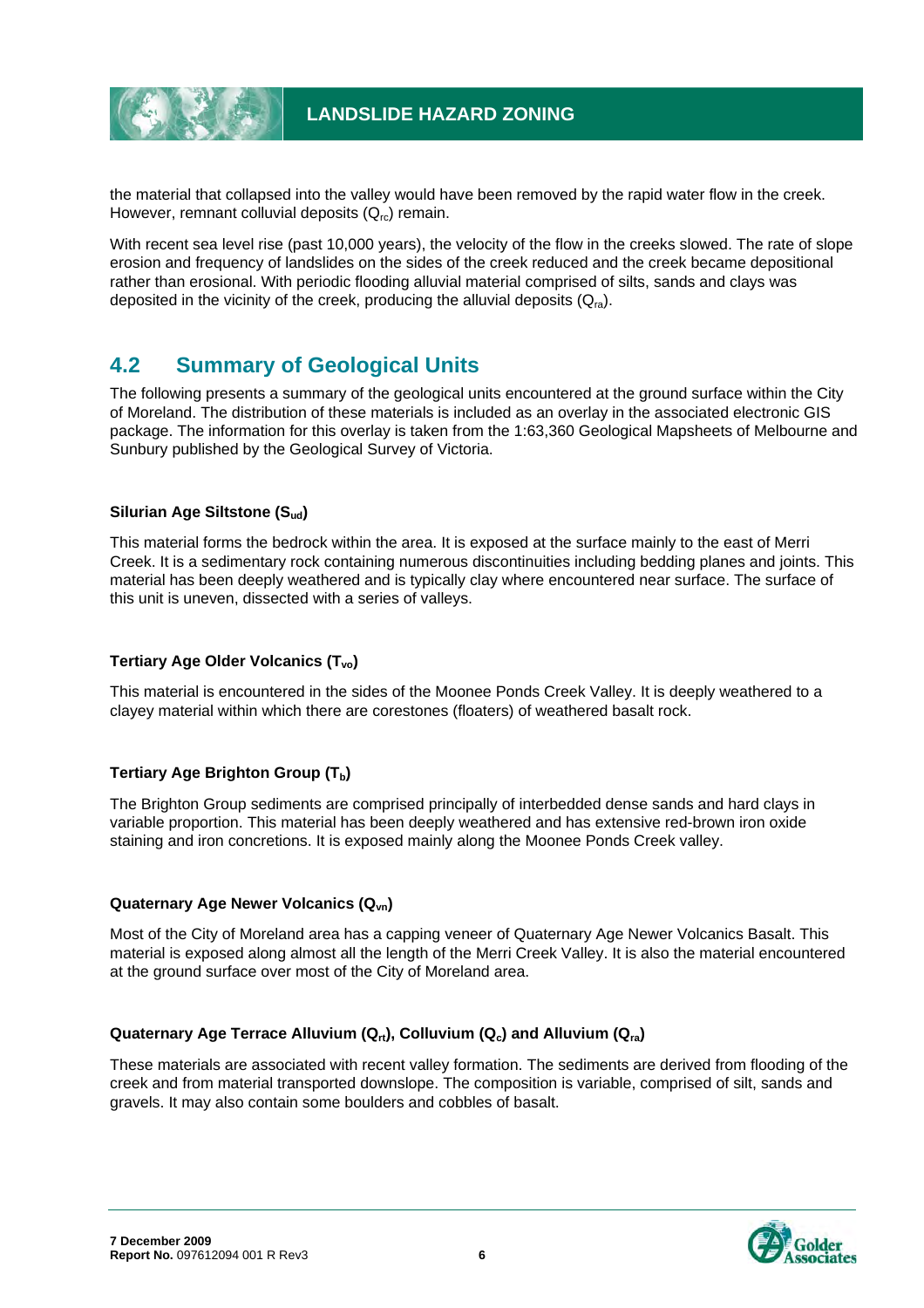

the material that collapsed into the valley would have been removed by the rapid water flow in the creek. However, remnant colluvial deposits  $(Q<sub>rc</sub>)$  remain.

With recent sea level rise (past 10,000 years), the velocity of the flow in the creeks slowed. The rate of slope erosion and frequency of landslides on the sides of the creek reduced and the creek became depositional rather than erosional. With periodic flooding alluvial material comprised of silts, sands and clays was deposited in the vicinity of the creek, producing the alluvial deposits  $(Q_{ra})$ .

# **4.2 Summary of Geological Units**

The following presents a summary of the geological units encountered at the ground surface within the City of Moreland. The distribution of these materials is included as an overlay in the associated electronic GIS package. The information for this overlay is taken from the 1:63,360 Geological Mapsheets of Melbourne and Sunbury published by the Geological Survey of Victoria.

#### **Silurian Age Siltstone (Sud)**

This material forms the bedrock within the area. It is exposed at the surface mainly to the east of Merri Creek. It is a sedimentary rock containing numerous discontinuities including bedding planes and joints. This material has been deeply weathered and is typically clay where encountered near surface. The surface of this unit is uneven, dissected with a series of valleys.

#### **Tertiary Age Older Volcanics (T<sub>vo</sub>)**

This material is encountered in the sides of the Moonee Ponds Creek Valley. It is deeply weathered to a clayey material within which there are corestones (floaters) of weathered basalt rock.

#### **Tertiary Age Brighton Group (Tb)**

The Brighton Group sediments are comprised principally of interbedded dense sands and hard clays in variable proportion. This material has been deeply weathered and has extensive red-brown iron oxide staining and iron concretions. It is exposed mainly along the Moonee Ponds Creek valley.

#### **Quaternary Age Newer Volcanics (Qvn)**

Most of the City of Moreland area has a capping veneer of Quaternary Age Newer Volcanics Basalt. This material is exposed along almost all the length of the Merri Creek Valley. It is also the material encountered at the ground surface over most of the City of Moreland area.

#### Quaternary Age Terrace Alluvium (Q<sub>rt</sub>), Colluvium (Q<sub>c</sub>) and Alluvium (Q<sub>ra</sub>)

These materials are associated with recent valley formation. The sediments are derived from flooding of the creek and from material transported downslope. The composition is variable, comprised of silt, sands and gravels. It may also contain some boulders and cobbles of basalt.

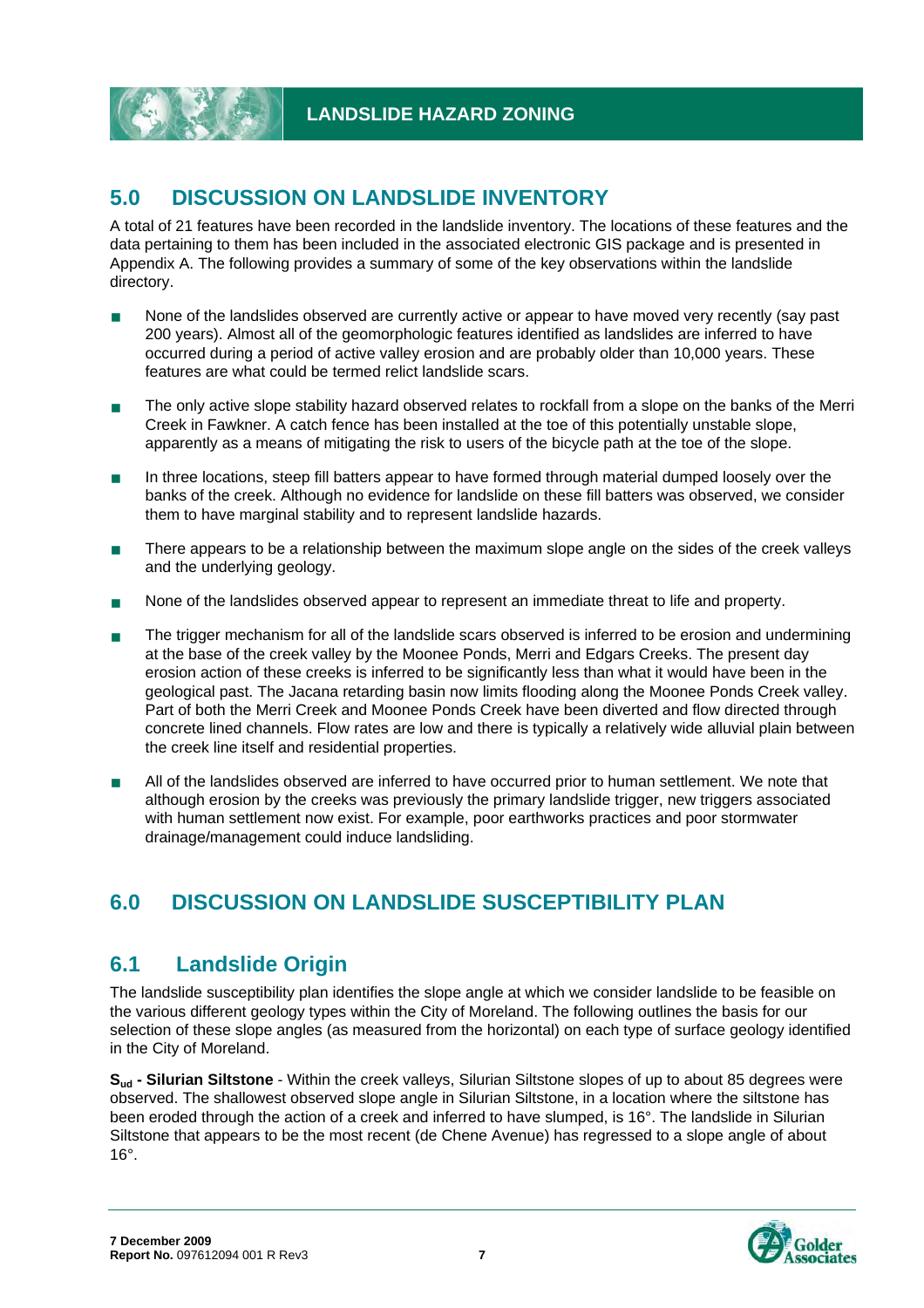# **5.0 DISCUSSION ON LANDSLIDE INVENTORY**

A total of 21 features have been recorded in the landslide inventory. The locations of these features and the data pertaining to them has been included in the associated electronic GIS package and is presented in Appendix A. The following provides a summary of some of the key observations within the landslide directory.

- None of the landslides observed are currently active or appear to have moved very recently (say past 200 years). Almost all of the geomorphologic features identified as landslides are inferred to have occurred during a period of active valley erosion and are probably older than 10,000 years. These features are what could be termed relict landslide scars.
- The only active slope stability hazard observed relates to rockfall from a slope on the banks of the Merri Creek in Fawkner. A catch fence has been installed at the toe of this potentially unstable slope, apparently as a means of mitigating the risk to users of the bicycle path at the toe of the slope.
- In three locations, steep fill batters appear to have formed through material dumped loosely over the banks of the creek. Although no evidence for landslide on these fill batters was observed, we consider them to have marginal stability and to represent landslide hazards.
- There appears to be a relationship between the maximum slope angle on the sides of the creek valleys and the underlying geology.
- None of the landslides observed appear to represent an immediate threat to life and property.
- The trigger mechanism for all of the landslide scars observed is inferred to be erosion and undermining at the base of the creek valley by the Moonee Ponds, Merri and Edgars Creeks. The present day erosion action of these creeks is inferred to be significantly less than what it would have been in the geological past. The Jacana retarding basin now limits flooding along the Moonee Ponds Creek valley. Part of both the Merri Creek and Moonee Ponds Creek have been diverted and flow directed through concrete lined channels. Flow rates are low and there is typically a relatively wide alluvial plain between the creek line itself and residential properties.
- All of the landslides observed are inferred to have occurred prior to human settlement. We note that although erosion by the creeks was previously the primary landslide trigger, new triggers associated with human settlement now exist. For example, poor earthworks practices and poor stormwater drainage/management could induce landsliding.

# **6.0 DISCUSSION ON LANDSLIDE SUSCEPTIBILITY PLAN**

# **6.1 Landslide Origin**

The landslide susceptibility plan identifies the slope angle at which we consider landslide to be feasible on the various different geology types within the City of Moreland. The following outlines the basis for our selection of these slope angles (as measured from the horizontal) on each type of surface geology identified in the City of Moreland.

**Sud - Silurian Siltstone** - Within the creek valleys, Silurian Siltstone slopes of up to about 85 degrees were observed. The shallowest observed slope angle in Silurian Siltstone, in a location where the siltstone has been eroded through the action of a creek and inferred to have slumped, is 16°. The landslide in Silurian Siltstone that appears to be the most recent (de Chene Avenue) has regressed to a slope angle of about 16°.

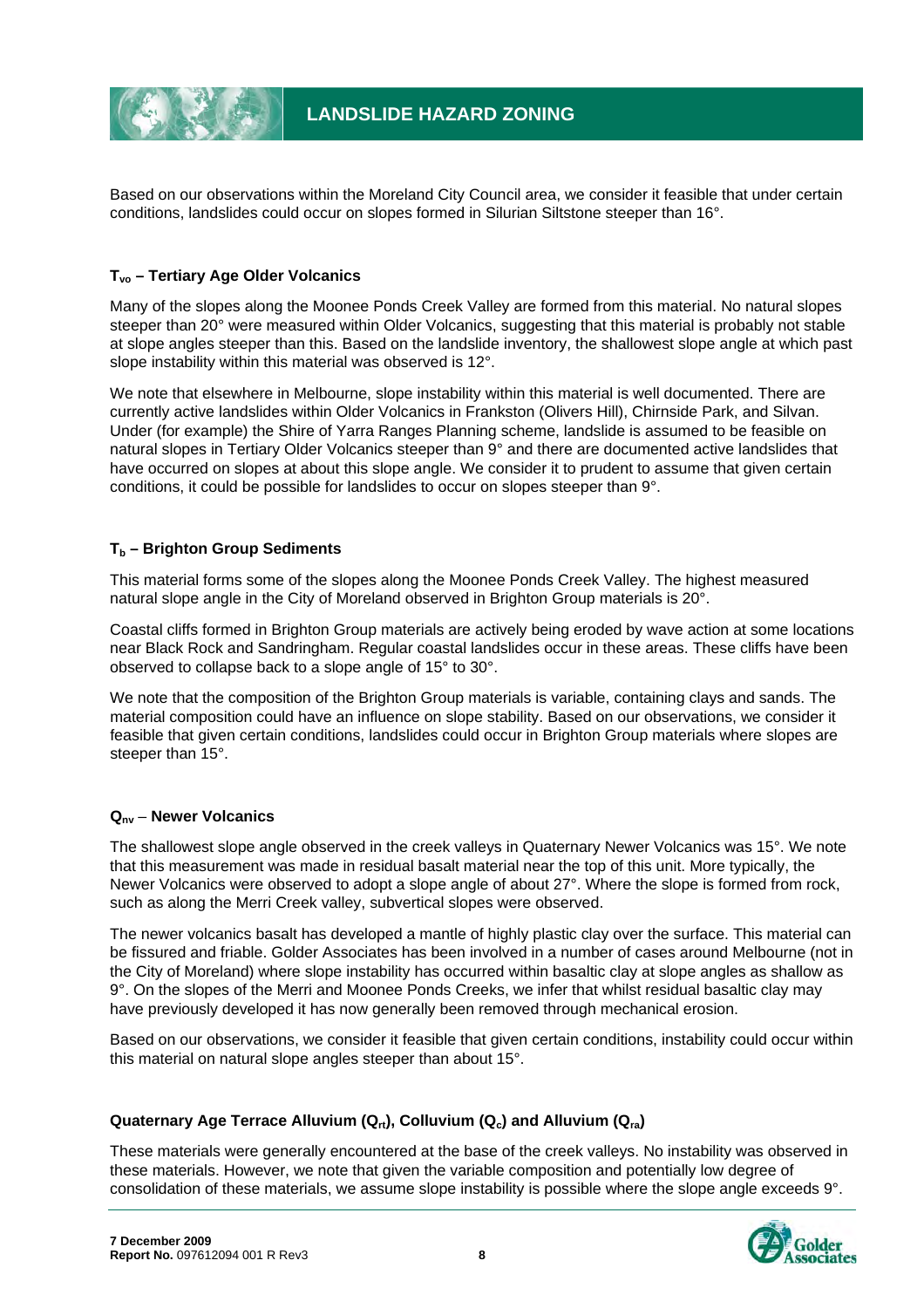Based on our observations within the Moreland City Council area, we consider it feasible that under certain conditions, landslides could occur on slopes formed in Silurian Siltstone steeper than 16°.

#### **Tvo – Tertiary Age Older Volcanics**

Many of the slopes along the Moonee Ponds Creek Valley are formed from this material. No natural slopes steeper than 20° were measured within Older Volcanics, suggesting that this material is probably not stable at slope angles steeper than this. Based on the landslide inventory, the shallowest slope angle at which past slope instability within this material was observed is 12°.

We note that elsewhere in Melbourne, slope instability within this material is well documented. There are currently active landslides within Older Volcanics in Frankston (Olivers Hill), Chirnside Park, and Silvan. Under (for example) the Shire of Yarra Ranges Planning scheme, landslide is assumed to be feasible on natural slopes in Tertiary Older Volcanics steeper than 9° and there are documented active landslides that have occurred on slopes at about this slope angle. We consider it to prudent to assume that given certain conditions, it could be possible for landslides to occur on slopes steeper than 9°.

#### **Tb – Brighton Group Sediments**

This material forms some of the slopes along the Moonee Ponds Creek Valley. The highest measured natural slope angle in the City of Moreland observed in Brighton Group materials is 20°.

Coastal cliffs formed in Brighton Group materials are actively being eroded by wave action at some locations near Black Rock and Sandringham. Regular coastal landslides occur in these areas. These cliffs have been observed to collapse back to a slope angle of 15° to 30°.

We note that the composition of the Brighton Group materials is variable, containing clays and sands. The material composition could have an influence on slope stability. Based on our observations, we consider it feasible that given certain conditions, landslides could occur in Brighton Group materials where slopes are steeper than 15°.

#### **Qnv** – **Newer Volcanics**

The shallowest slope angle observed in the creek valleys in Quaternary Newer Volcanics was 15°. We note that this measurement was made in residual basalt material near the top of this unit. More typically, the Newer Volcanics were observed to adopt a slope angle of about 27°. Where the slope is formed from rock, such as along the Merri Creek valley, subvertical slopes were observed.

The newer volcanics basalt has developed a mantle of highly plastic clay over the surface. This material can be fissured and friable. Golder Associates has been involved in a number of cases around Melbourne (not in the City of Moreland) where slope instability has occurred within basaltic clay at slope angles as shallow as 9°. On the slopes of the Merri and Moonee Ponds Creeks, we infer that whilst residual basaltic clay may have previously developed it has now generally been removed through mechanical erosion.

Based on our observations, we consider it feasible that given certain conditions, instability could occur within this material on natural slope angles steeper than about 15°.

#### Quaternary Age Terrace Alluvium (Q<sub>rt</sub>), Colluvium (Q<sub>c</sub>) and Alluvium (Q<sub>ra</sub>)

These materials were generally encountered at the base of the creek valleys. No instability was observed in these materials. However, we note that given the variable composition and potentially low degree of consolidation of these materials, we assume slope instability is possible where the slope angle exceeds 9°.

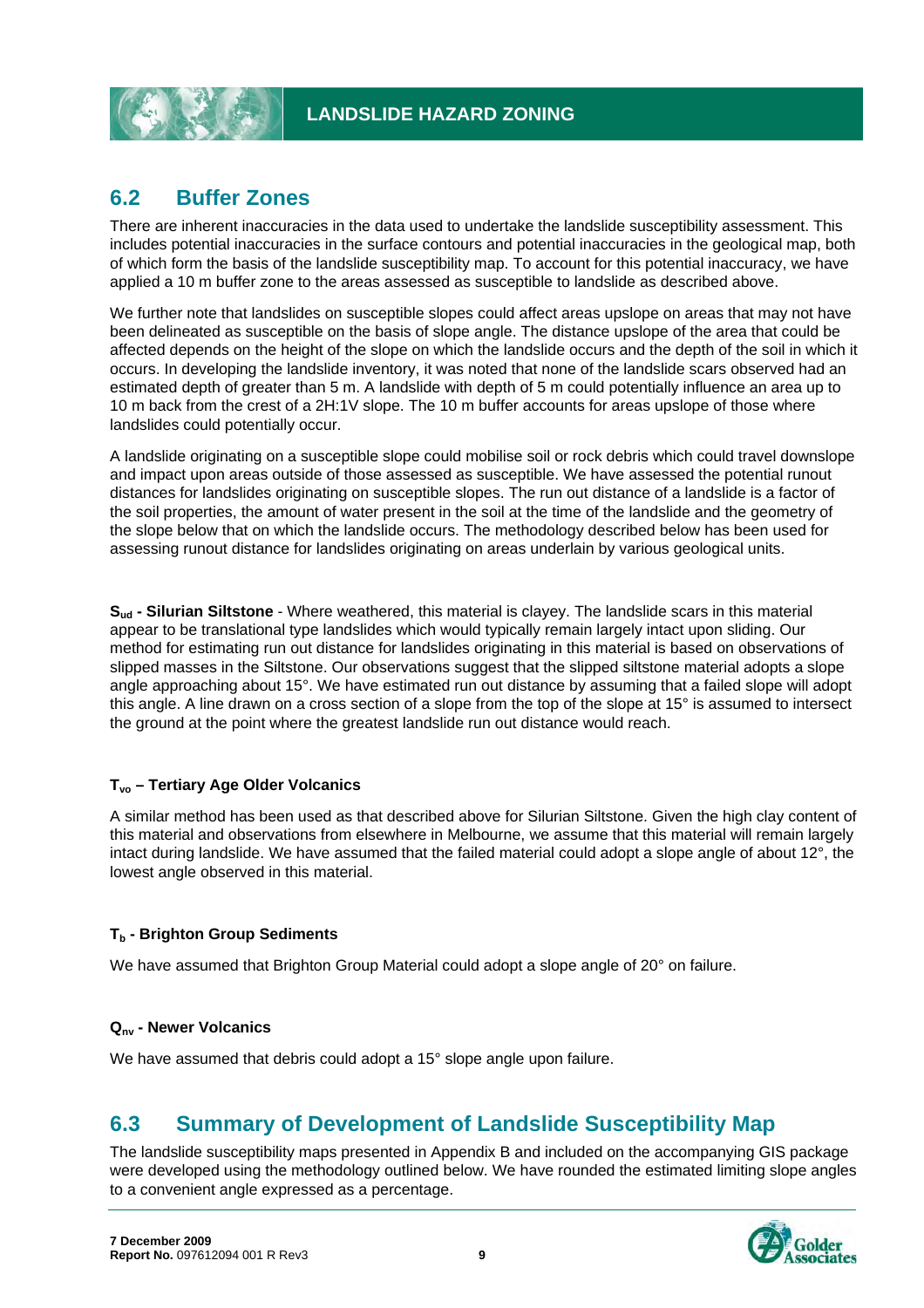# **6.2 Buffer Zones**

There are inherent inaccuracies in the data used to undertake the landslide susceptibility assessment. This includes potential inaccuracies in the surface contours and potential inaccuracies in the geological map, both of which form the basis of the landslide susceptibility map. To account for this potential inaccuracy, we have applied a 10 m buffer zone to the areas assessed as susceptible to landslide as described above.

We further note that landslides on susceptible slopes could affect areas upslope on areas that may not have been delineated as susceptible on the basis of slope angle. The distance upslope of the area that could be affected depends on the height of the slope on which the landslide occurs and the depth of the soil in which it occurs. In developing the landslide inventory, it was noted that none of the landslide scars observed had an estimated depth of greater than 5 m. A landslide with depth of 5 m could potentially influence an area up to 10 m back from the crest of a 2H:1V slope. The 10 m buffer accounts for areas upslope of those where landslides could potentially occur.

A landslide originating on a susceptible slope could mobilise soil or rock debris which could travel downslope and impact upon areas outside of those assessed as susceptible. We have assessed the potential runout distances for landslides originating on susceptible slopes. The run out distance of a landslide is a factor of the soil properties, the amount of water present in the soil at the time of the landslide and the geometry of the slope below that on which the landslide occurs. The methodology described below has been used for assessing runout distance for landslides originating on areas underlain by various geological units.

**Sud - Silurian Siltstone** - Where weathered, this material is clayey. The landslide scars in this material appear to be translational type landslides which would typically remain largely intact upon sliding. Our method for estimating run out distance for landslides originating in this material is based on observations of slipped masses in the Siltstone. Our observations suggest that the slipped siltstone material adopts a slope angle approaching about 15°. We have estimated run out distance by assuming that a failed slope will adopt this angle. A line drawn on a cross section of a slope from the top of the slope at 15° is assumed to intersect the ground at the point where the greatest landslide run out distance would reach.

#### **Tvo – Tertiary Age Older Volcanics**

A similar method has been used as that described above for Silurian Siltstone. Given the high clay content of this material and observations from elsewhere in Melbourne, we assume that this material will remain largely intact during landslide. We have assumed that the failed material could adopt a slope angle of about 12°, the lowest angle observed in this material.

#### T<sub>b</sub> - Brighton Group Sediments

We have assumed that Brighton Group Material could adopt a slope angle of 20° on failure.

#### **Qnv - Newer Volcanics**

We have assumed that debris could adopt a 15° slope angle upon failure.

# **6.3 Summary of Development of Landslide Susceptibility Map**

The landslide susceptibility maps presented in Appendix B and included on the accompanying GIS package were developed using the methodology outlined below. We have rounded the estimated limiting slope angles to a convenient angle expressed as a percentage.

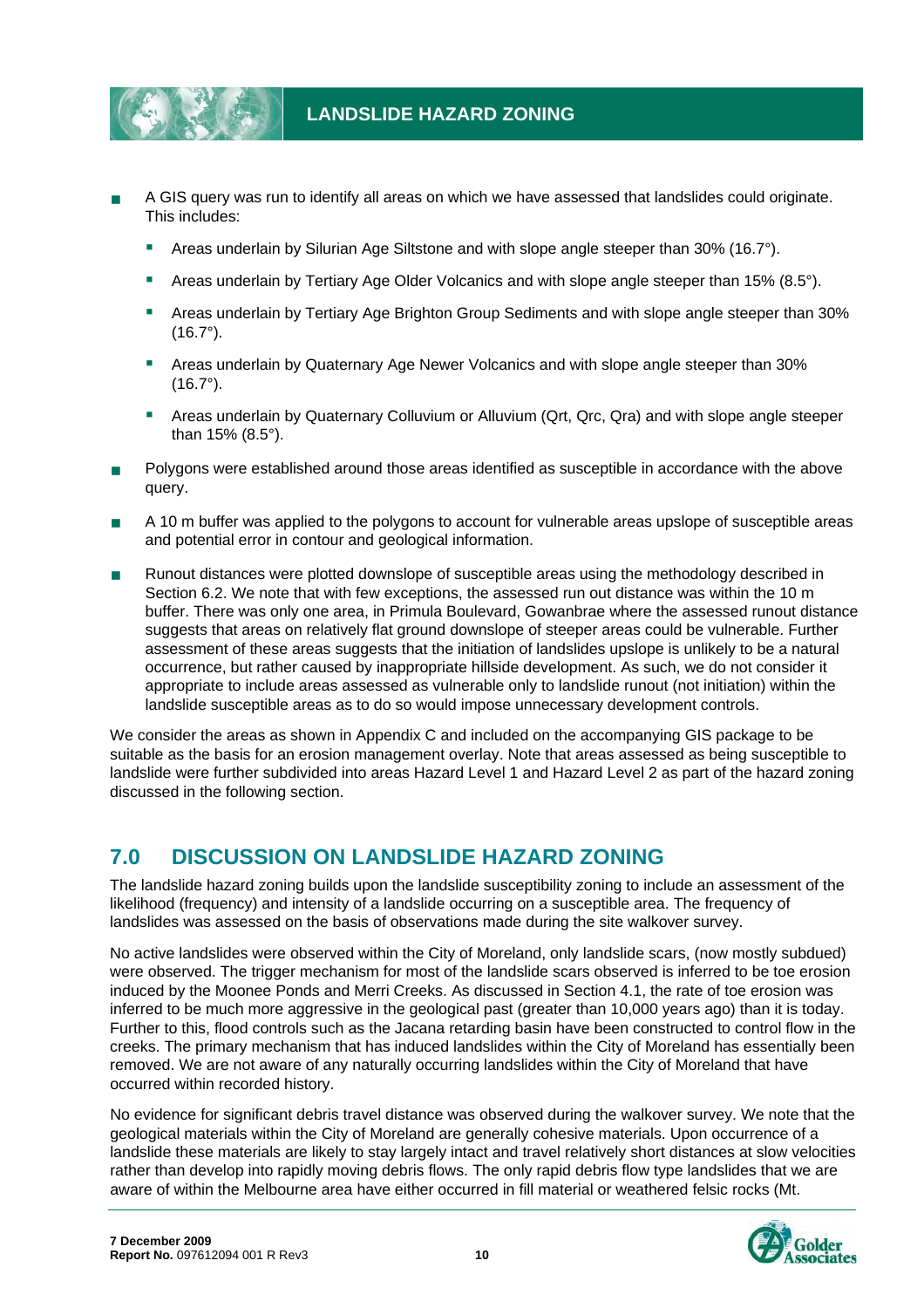

- A GIS query was run to identify all areas on which we have assessed that landslides could originate. This includes:
	- Areas underlain by Silurian Age Siltstone and with slope angle steeper than 30% (16.7°).
	- Areas underlain by Tertiary Age Older Volcanics and with slope angle steeper than 15% (8.5°).
	- Areas underlain by Tertiary Age Brighton Group Sediments and with slope angle steeper than 30%  $(16.7°)$ .
	- Areas underlain by Quaternary Age Newer Volcanics and with slope angle steeper than 30% (16.7°).
	- Areas underlain by Quaternary Colluvium or Alluvium (Qrt, Qrc, Qra) and with slope angle steeper than 15% (8.5°).
- **Polygons were established around those areas identified as susceptible in accordance with the above** query.
- A 10 m buffer was applied to the polygons to account for vulnerable areas upslope of susceptible areas and potential error in contour and geological information.
- Runout distances were plotted downslope of susceptible areas using the methodology described in Section 6.2. We note that with few exceptions, the assessed run out distance was within the 10 m buffer. There was only one area, in Primula Boulevard, Gowanbrae where the assessed runout distance suggests that areas on relatively flat ground downslope of steeper areas could be vulnerable. Further assessment of these areas suggests that the initiation of landslides upslope is unlikely to be a natural occurrence, but rather caused by inappropriate hillside development. As such, we do not consider it appropriate to include areas assessed as vulnerable only to landslide runout (not initiation) within the landslide susceptible areas as to do so would impose unnecessary development controls.

We consider the areas as shown in Appendix C and included on the accompanying GIS package to be suitable as the basis for an erosion management overlay. Note that areas assessed as being susceptible to landslide were further subdivided into areas Hazard Level 1 and Hazard Level 2 as part of the hazard zoning discussed in the following section.

# **7.0 DISCUSSION ON LANDSLIDE HAZARD ZONING**

The landslide hazard zoning builds upon the landslide susceptibility zoning to include an assessment of the likelihood (frequency) and intensity of a landslide occurring on a susceptible area. The frequency of landslides was assessed on the basis of observations made during the site walkover survey.

No active landslides were observed within the City of Moreland, only landslide scars, (now mostly subdued) were observed. The trigger mechanism for most of the landslide scars observed is inferred to be toe erosion induced by the Moonee Ponds and Merri Creeks. As discussed in Section 4.1, the rate of toe erosion was inferred to be much more aggressive in the geological past (greater than 10,000 years ago) than it is today. Further to this, flood controls such as the Jacana retarding basin have been constructed to control flow in the creeks. The primary mechanism that has induced landslides within the City of Moreland has essentially been removed. We are not aware of any naturally occurring landslides within the City of Moreland that have occurred within recorded history.

No evidence for significant debris travel distance was observed during the walkover survey. We note that the geological materials within the City of Moreland are generally cohesive materials. Upon occurrence of a landslide these materials are likely to stay largely intact and travel relatively short distances at slow velocities rather than develop into rapidly moving debris flows. The only rapid debris flow type landslides that we are aware of within the Melbourne area have either occurred in fill material or weathered felsic rocks (Mt.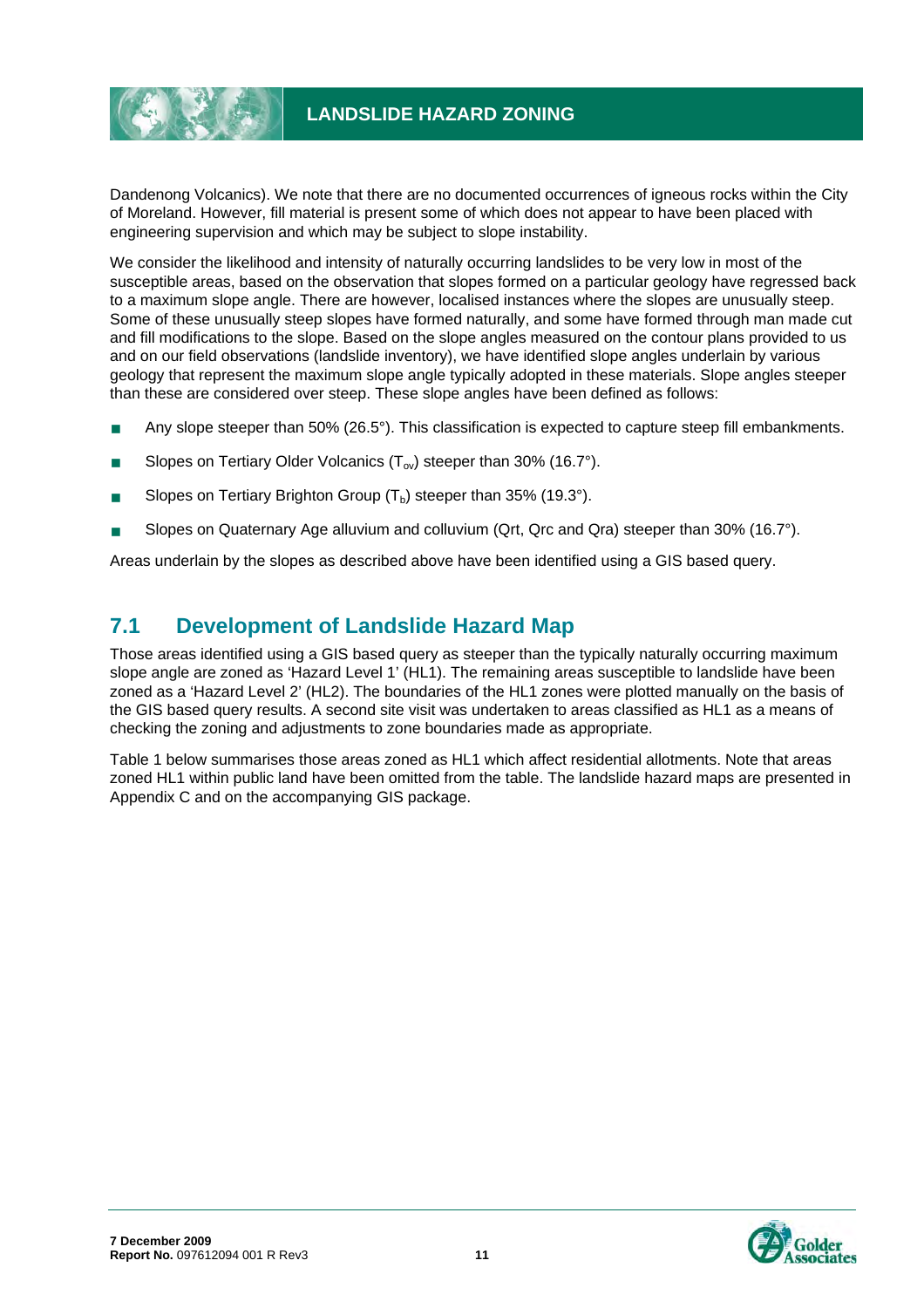# **LANDSLIDE HAZARD ZONING**

Dandenong Volcanics). We note that there are no documented occurrences of igneous rocks within the City of Moreland. However, fill material is present some of which does not appear to have been placed with engineering supervision and which may be subject to slope instability.

We consider the likelihood and intensity of naturally occurring landslides to be very low in most of the susceptible areas, based on the observation that slopes formed on a particular geology have regressed back to a maximum slope angle. There are however, localised instances where the slopes are unusually steep. Some of these unusually steep slopes have formed naturally, and some have formed through man made cut and fill modifications to the slope. Based on the slope angles measured on the contour plans provided to us and on our field observations (landslide inventory), we have identified slope angles underlain by various geology that represent the maximum slope angle typically adopted in these materials. Slope angles steeper than these are considered over steep. These slope angles have been defined as follows:

- **Any slope steeper than 50% (26.5°). This classification is expected to capture steep fill embankments.**
- Slopes on Tertiary Older Volcanics  $(T_{ov})$  steeper than 30% (16.7°).
- Slopes on Tertiary Brighton Group  $(T_b)$  steeper than 35% (19.3°).
- Slopes on Quaternary Age alluvium and colluvium (Qrt, Qrc and Qra) steeper than 30% (16.7°).

Areas underlain by the slopes as described above have been identified using a GIS based query.

# **7.1 Development of Landslide Hazard Map**

Those areas identified using a GIS based query as steeper than the typically naturally occurring maximum slope angle are zoned as 'Hazard Level 1' (HL1). The remaining areas susceptible to landslide have been zoned as a 'Hazard Level 2' (HL2). The boundaries of the HL1 zones were plotted manually on the basis of the GIS based query results. A second site visit was undertaken to areas classified as HL1 as a means of checking the zoning and adjustments to zone boundaries made as appropriate.

Table 1 below summarises those areas zoned as HL1 which affect residential allotments. Note that areas zoned HL1 within public land have been omitted from the table. The landslide hazard maps are presented in Appendix C and on the accompanying GIS package.

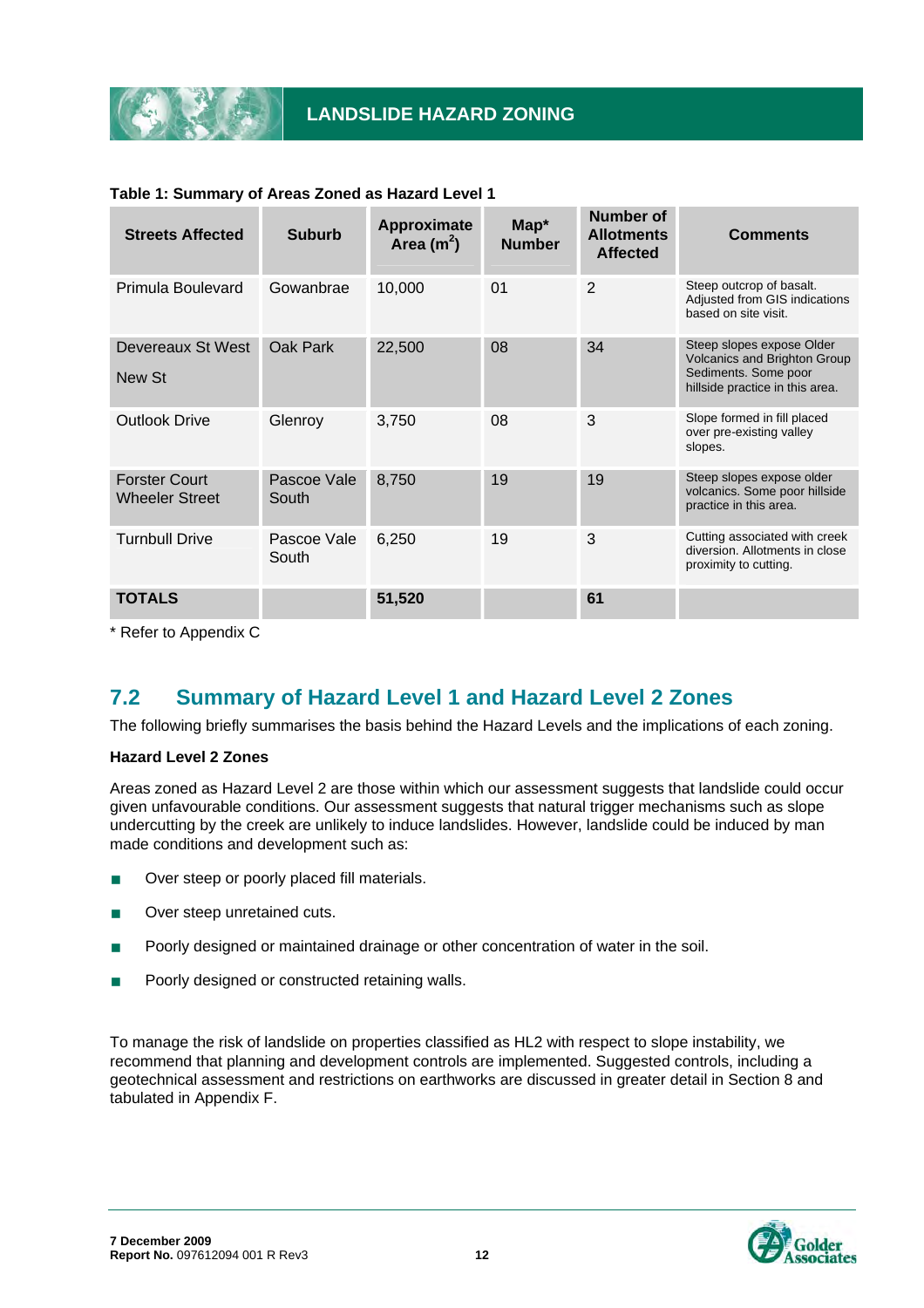

| <b>Streets Affected</b>                       | <b>Suburb</b>        | Approximate<br>Area $(m2)$ | Map*<br><b>Number</b> | <b>Number of</b><br><b>Allotments</b><br><b>Affected</b> | <b>Comments</b>                                                                                                             |
|-----------------------------------------------|----------------------|----------------------------|-----------------------|----------------------------------------------------------|-----------------------------------------------------------------------------------------------------------------------------|
| Primula Boulevard                             | Gowanbrae            | 10,000                     | 01                    | $\overline{2}$                                           | Steep outcrop of basalt.<br>Adjusted from GIS indications<br>based on site visit.                                           |
| Devereaux St West<br>New St                   | Oak Park             | 22,500                     | 08                    | 34                                                       | Steep slopes expose Older<br><b>Volcanics and Brighton Group</b><br>Sediments. Some poor<br>hillside practice in this area. |
| <b>Outlook Drive</b>                          | Glenroy              | 3,750                      | 08                    | 3                                                        | Slope formed in fill placed<br>over pre-existing valley<br>slopes.                                                          |
| <b>Forster Court</b><br><b>Wheeler Street</b> | Pascoe Vale<br>South | 8,750                      | 19                    | 19                                                       | Steep slopes expose older<br>volcanics. Some poor hillside<br>practice in this area.                                        |
| <b>Turnbull Drive</b>                         | Pascoe Vale<br>South | 6,250                      | 19                    | 3                                                        | Cutting associated with creek<br>diversion. Allotments in close<br>proximity to cutting.                                    |
| <b>TOTALS</b>                                 |                      | 51,520                     |                       | 61                                                       |                                                                                                                             |

#### **Table 1: Summary of Areas Zoned as Hazard Level 1**

\* Refer to Appendix C

# **7.2 Summary of Hazard Level 1 and Hazard Level 2 Zones**

The following briefly summarises the basis behind the Hazard Levels and the implications of each zoning.

#### **Hazard Level 2 Zones**

Areas zoned as Hazard Level 2 are those within which our assessment suggests that landslide could occur given unfavourable conditions. Our assessment suggests that natural trigger mechanisms such as slope undercutting by the creek are unlikely to induce landslides. However, landslide could be induced by man made conditions and development such as:

- Over steep or poorly placed fill materials.
- Over steep unretained cuts.
- Poorly designed or maintained drainage or other concentration of water in the soil.
- Poorly designed or constructed retaining walls.

To manage the risk of landslide on properties classified as HL2 with respect to slope instability, we recommend that planning and development controls are implemented. Suggested controls, including a geotechnical assessment and restrictions on earthworks are discussed in greater detail in Section 8 and tabulated in Appendix F.

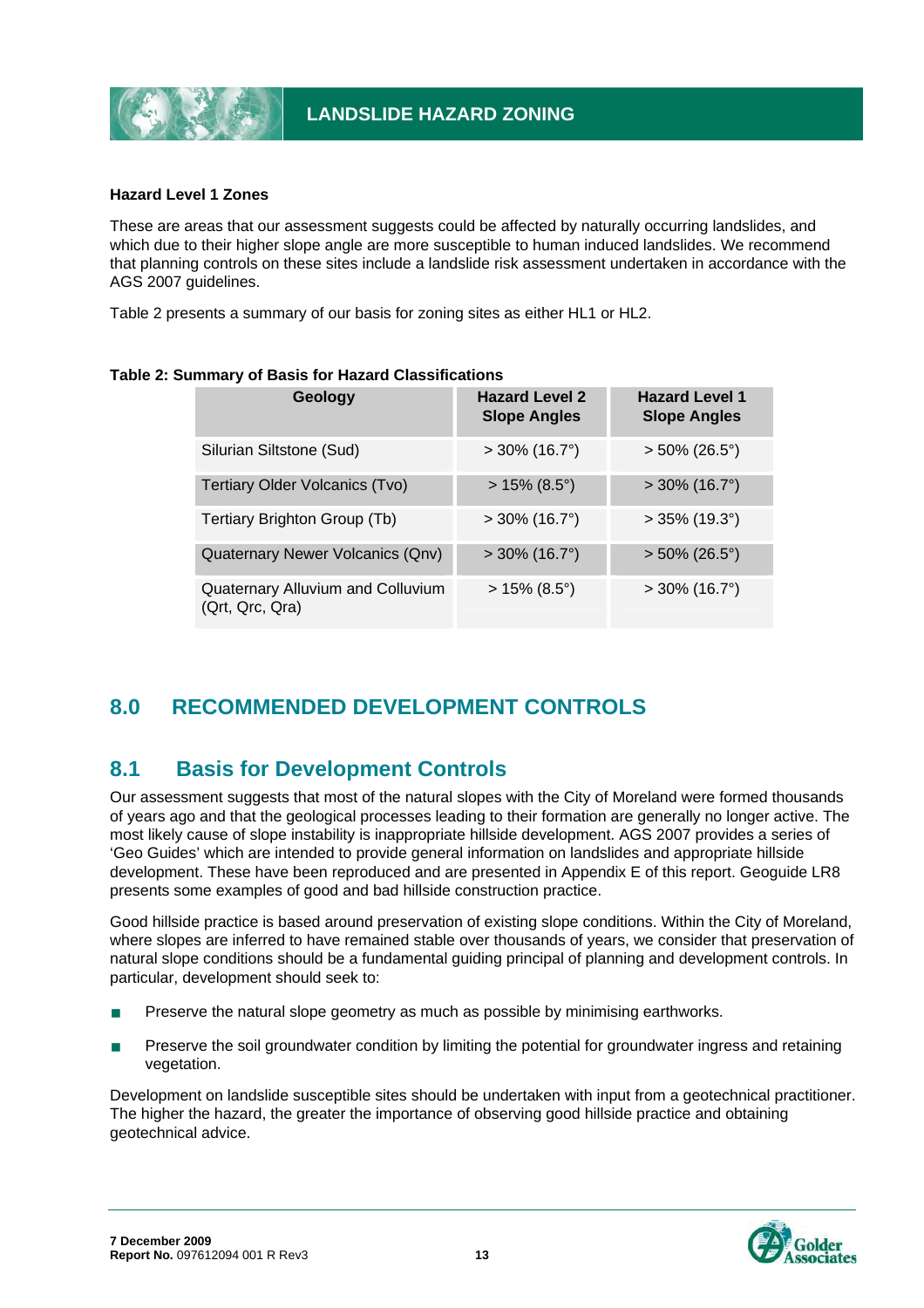

#### **Hazard Level 1 Zones**

These are areas that our assessment suggests could be affected by naturally occurring landslides, and which due to their higher slope angle are more susceptible to human induced landslides. We recommend that planning controls on these sites include a landslide risk assessment undertaken in accordance with the AGS 2007 guidelines.

Table 2 presents a summary of our basis for zoning sites as either HL1 or HL2.

|  | Geology                                              | <b>Hazard Level 2</b><br><b>Slope Angles</b> | <b>Hazard Level 1</b><br><b>Slope Angles</b> |  |
|--|------------------------------------------------------|----------------------------------------------|----------------------------------------------|--|
|  | Silurian Siltstone (Sud)                             | $>$ 30% (16.7°)                              | $> 50\%$ (26.5°)                             |  |
|  | Tertiary Older Volcanics (Tvo)                       | $> 15\%$ (8.5°)                              | $>$ 30% (16.7°)                              |  |
|  | Tertiary Brighton Group (Tb)                         | $>$ 30% (16.7°)                              | $>$ 35% (19.3°)                              |  |
|  | Quaternary Newer Volcanics (Qnv)                     | $>$ 30% (16.7°)                              | $> 50\%$ (26.5°)                             |  |
|  | Quaternary Alluvium and Colluvium<br>(Qrt, Qrc, Qra) | $> 15\%$ (8.5°)                              | $>$ 30% (16.7°)                              |  |

#### **Table 2: Summary of Basis for Hazard Classifications**

# **8.0 RECOMMENDED DEVELOPMENT CONTROLS**

### **8.1 Basis for Development Controls**

Our assessment suggests that most of the natural slopes with the City of Moreland were formed thousands of years ago and that the geological processes leading to their formation are generally no longer active. The most likely cause of slope instability is inappropriate hillside development. AGS 2007 provides a series of 'Geo Guides' which are intended to provide general information on landslides and appropriate hillside development. These have been reproduced and are presented in Appendix E of this report. Geoguide LR8 presents some examples of good and bad hillside construction practice.

Good hillside practice is based around preservation of existing slope conditions. Within the City of Moreland, where slopes are inferred to have remained stable over thousands of years, we consider that preservation of natural slope conditions should be a fundamental guiding principal of planning and development controls. In particular, development should seek to:

- **Preserve the natural slope geometry as much as possible by minimising earthworks.**
- Preserve the soil groundwater condition by limiting the potential for groundwater ingress and retaining vegetation.

Development on landslide susceptible sites should be undertaken with input from a geotechnical practitioner. The higher the hazard, the greater the importance of observing good hillside practice and obtaining geotechnical advice.

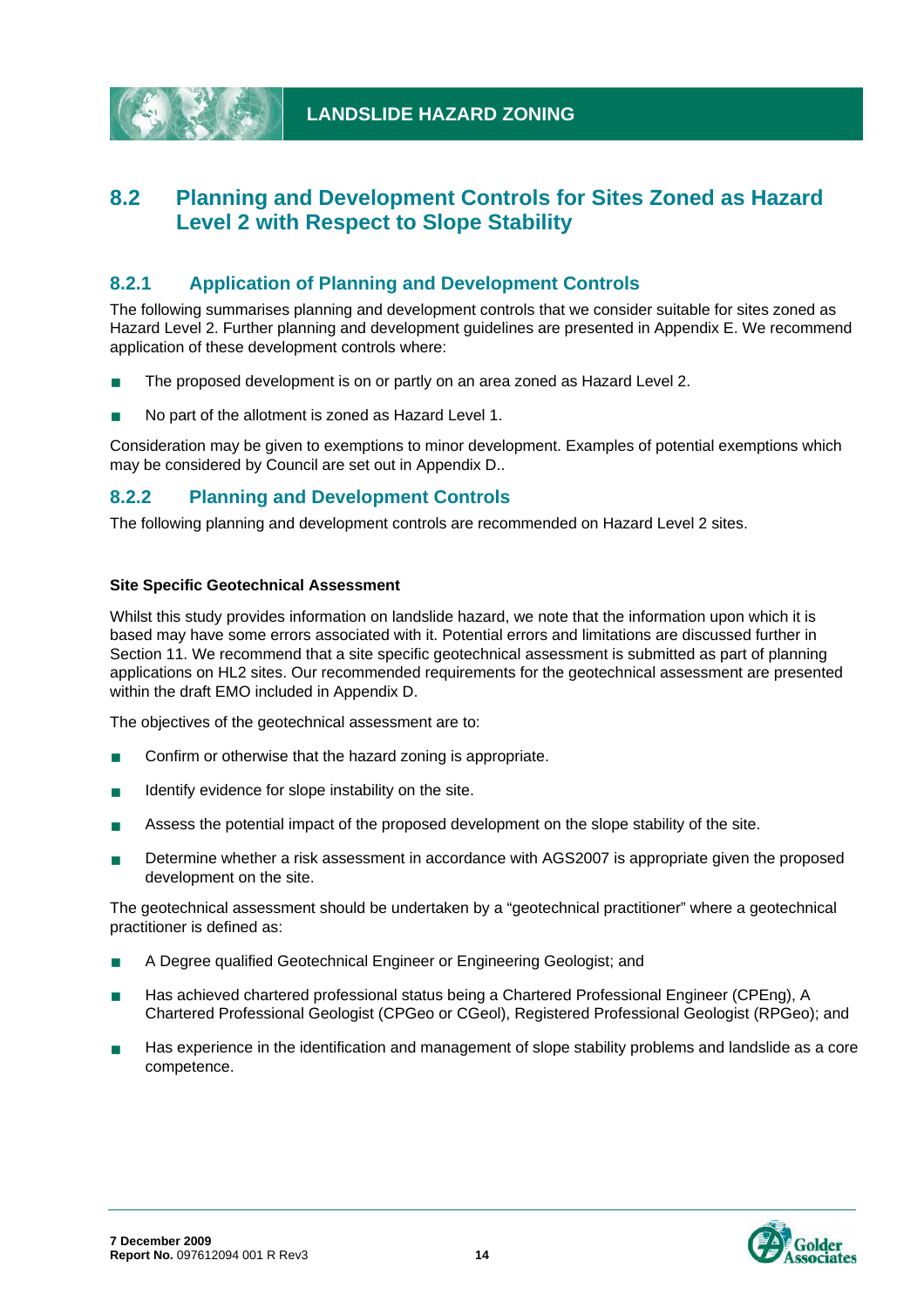

# **8.2 Planning and Development Controls for Sites Zoned as Hazard Level 2 with Respect to Slope Stability**

### **8.2.1 Application of Planning and Development Controls**

The following summarises planning and development controls that we consider suitable for sites zoned as Hazard Level 2. Further planning and development guidelines are presented in Appendix E. We recommend application of these development controls where:

- The proposed development is on or partly on an area zoned as Hazard Level 2.
- No part of the allotment is zoned as Hazard Level 1.

Consideration may be given to exemptions to minor development. Examples of potential exemptions which may be considered by Council are set out in Appendix D..

#### **8.2.2 Planning and Development Controls**

The following planning and development controls are recommended on Hazard Level 2 sites.

#### **Site Specific Geotechnical Assessment**

Whilst this study provides information on landslide hazard, we note that the information upon which it is based may have some errors associated with it. Potential errors and limitations are discussed further in Section 11. We recommend that a site specific geotechnical assessment is submitted as part of planning applications on HL2 sites. Our recommended requirements for the geotechnical assessment are presented within the draft EMO included in Appendix D.

The objectives of the geotechnical assessment are to:

- Confirm or otherwise that the hazard zoning is appropriate.
- $\blacksquare$  Identify evidence for slope instability on the site.
- **Assess the potential impact of the proposed development on the slope stability of the site.**
- Determine whether a risk assessment in accordance with AGS2007 is appropriate given the proposed development on the site.

The geotechnical assessment should be undertaken by a "geotechnical practitioner" where a geotechnical practitioner is defined as:

- A Degree qualified Geotechnical Engineer or Engineering Geologist; and
- **Has achieved chartered professional status being a Chartered Professional Engineer (CPEng), A** Chartered Professional Geologist (CPGeo or CGeol), Registered Professional Geologist (RPGeo); and
- Has experience in the identification and management of slope stability problems and landslide as a core competence.

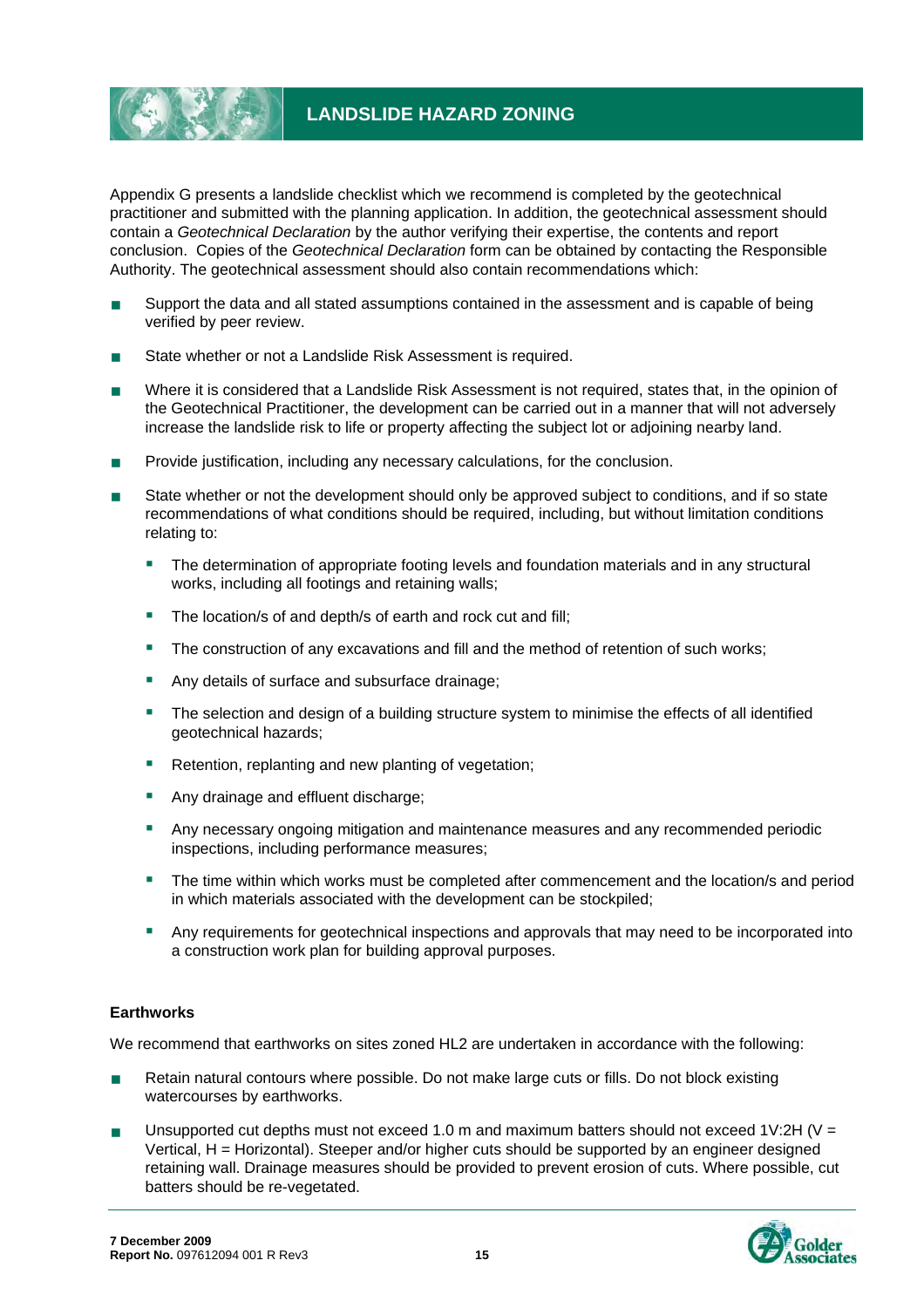

Appendix G presents a landslide checklist which we recommend is completed by the geotechnical practitioner and submitted with the planning application. In addition, the geotechnical assessment should contain a *Geotechnical Declaration* by the author verifying their expertise, the contents and report conclusion. Copies of the *Geotechnical Declaration* form can be obtained by contacting the Responsible Authority. The geotechnical assessment should also contain recommendations which:

- Support the data and all stated assumptions contained in the assessment and is capable of being verified by peer review.
- State whether or not a Landslide Risk Assessment is required.
- Where it is considered that a Landslide Risk Assessment is not required, states that, in the opinion of the Geotechnical Practitioner, the development can be carried out in a manner that will not adversely increase the landslide risk to life or property affecting the subject lot or adjoining nearby land.
- **Provide justification, including any necessary calculations, for the conclusion.**
- State whether or not the development should only be approved subject to conditions, and if so state recommendations of what conditions should be required, including, but without limitation conditions relating to:
	- The determination of appropriate footing levels and foundation materials and in any structural works, including all footings and retaining walls;
	- The location/s of and depth/s of earth and rock cut and fill;
	- **The construction of any excavations and fill and the method of retention of such works;**
	- Any details of surface and subsurface drainage;
	- **The selection and design of a building structure system to minimise the effects of all identified** geotechnical hazards;
	- Retention, replanting and new planting of vegetation;
	- Any drainage and effluent discharge;
	- Any necessary ongoing mitigation and maintenance measures and any recommended periodic inspections, including performance measures;
	- The time within which works must be completed after commencement and the location/s and period in which materials associated with the development can be stockpiled;
	- Any requirements for geotechnical inspections and approvals that may need to be incorporated into a construction work plan for building approval purposes.

#### **Earthworks**

We recommend that earthworks on sites zoned HL2 are undertaken in accordance with the following:

- Retain natural contours where possible. Do not make large cuts or fills. Do not block existing watercourses by earthworks.
- Unsupported cut depths must not exceed 1.0 m and maximum batters should not exceed 1V:2H (V = Vertical, H = Horizontal). Steeper and/or higher cuts should be supported by an engineer designed retaining wall. Drainage measures should be provided to prevent erosion of cuts. Where possible, cut batters should be re-vegetated.

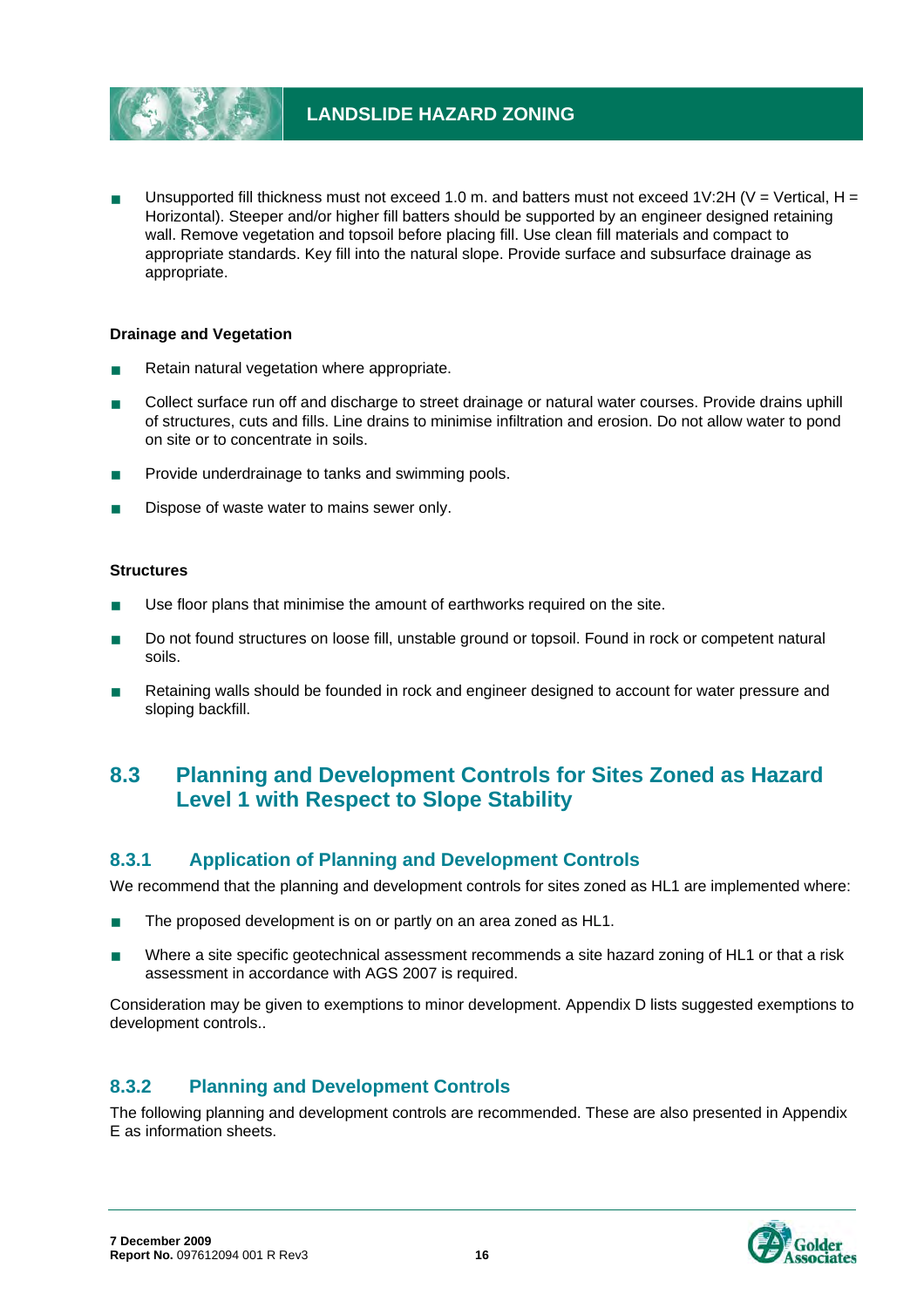

Unsupported fill thickness must not exceed 1.0 m. and batters must not exceed 1V:2H (V = Vertical, H = Horizontal). Steeper and/or higher fill batters should be supported by an engineer designed retaining wall. Remove vegetation and topsoil before placing fill. Use clean fill materials and compact to appropriate standards. Key fill into the natural slope. Provide surface and subsurface drainage as appropriate.

#### **Drainage and Vegetation**

- Retain natural vegetation where appropriate.
- **Collect surface run off and discharge to street drainage or natural water courses. Provide drains uphill** of structures, cuts and fills. Line drains to minimise infiltration and erosion. Do not allow water to pond on site or to concentrate in soils.
- Provide underdrainage to tanks and swimming pools.
- Dispose of waste water to mains sewer only.

#### **Structures**

- Use floor plans that minimise the amount of earthworks required on the site.
- Do not found structures on loose fill, unstable ground or topsoil. Found in rock or competent natural soils.
- Retaining walls should be founded in rock and engineer designed to account for water pressure and sloping backfill.

# **8.3 Planning and Development Controls for Sites Zoned as Hazard Level 1 with Respect to Slope Stability**

#### **8.3.1 Application of Planning and Development Controls**

We recommend that the planning and development controls for sites zoned as HL1 are implemented where:

- The proposed development is on or partly on an area zoned as HL1.
- Where a site specific geotechnical assessment recommends a site hazard zoning of HL1 or that a risk assessment in accordance with AGS 2007 is required.

Consideration may be given to exemptions to minor development. Appendix D lists suggested exemptions to development controls..

#### **8.3.2 Planning and Development Controls**

The following planning and development controls are recommended. These are also presented in Appendix E as information sheets.

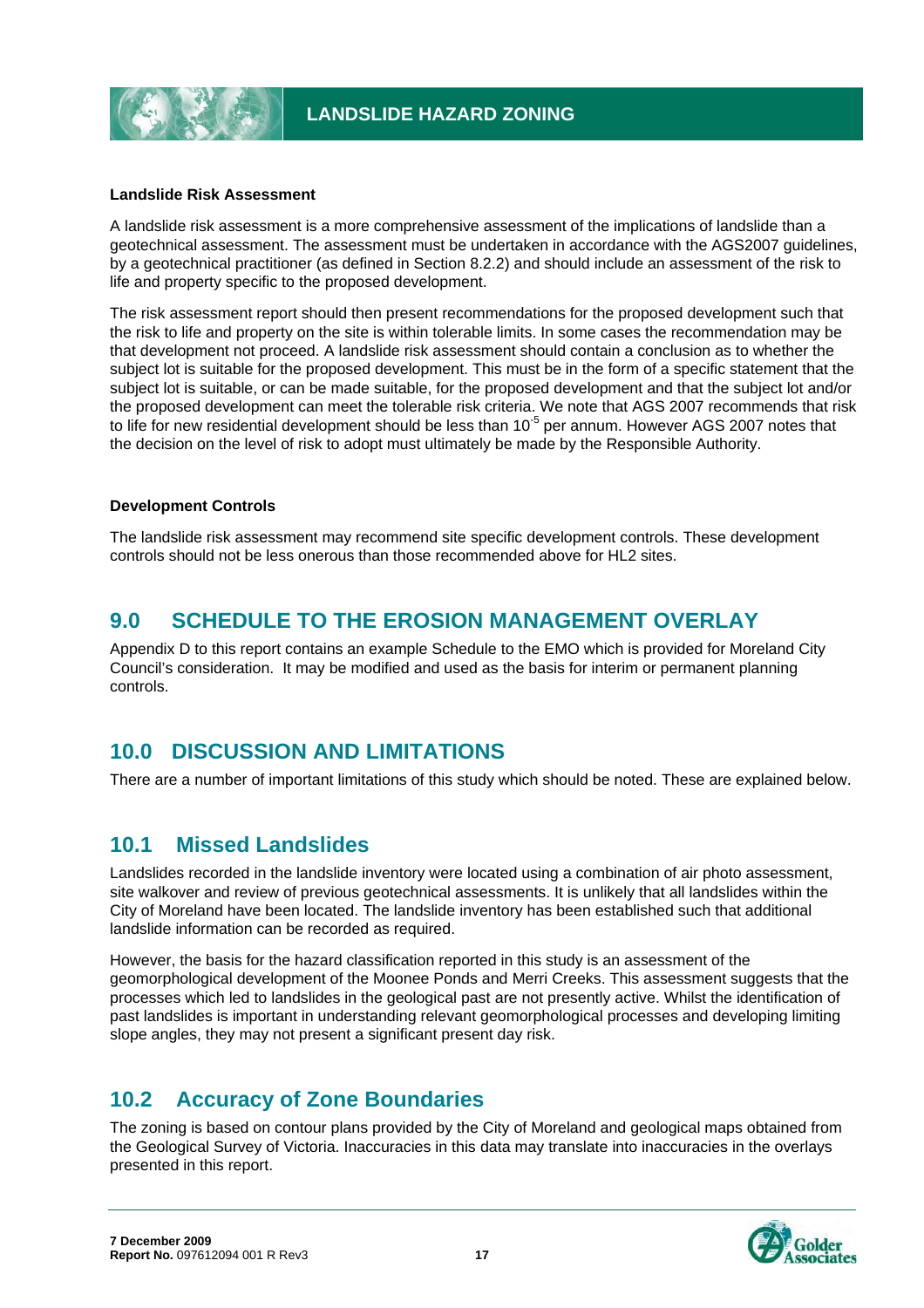#### **Landslide Risk Assessment**

A landslide risk assessment is a more comprehensive assessment of the implications of landslide than a geotechnical assessment. The assessment must be undertaken in accordance with the AGS2007 guidelines, by a geotechnical practitioner (as defined in Section 8.2.2) and should include an assessment of the risk to life and property specific to the proposed development.

The risk assessment report should then present recommendations for the proposed development such that the risk to life and property on the site is within tolerable limits. In some cases the recommendation may be that development not proceed. A landslide risk assessment should contain a conclusion as to whether the subject lot is suitable for the proposed development. This must be in the form of a specific statement that the subject lot is suitable, or can be made suitable, for the proposed development and that the subject lot and/or the proposed development can meet the tolerable risk criteria. We note that AGS 2007 recommends that risk to life for new residential development should be less than 10<sup>-5</sup> per annum. However AGS 2007 notes that the decision on the level of risk to adopt must ultimately be made by the Responsible Authority.

#### **Development Controls**

The landslide risk assessment may recommend site specific development controls. These development controls should not be less onerous than those recommended above for HL2 sites.

# **9.0 SCHEDULE TO THE EROSION MANAGEMENT OVERLAY**

Appendix D to this report contains an example Schedule to the EMO which is provided for Moreland City Council's consideration. It may be modified and used as the basis for interim or permanent planning controls.

### **10.0 DISCUSSION AND LIMITATIONS**

There are a number of important limitations of this study which should be noted. These are explained below.

# **10.1 Missed Landslides**

Landslides recorded in the landslide inventory were located using a combination of air photo assessment, site walkover and review of previous geotechnical assessments. It is unlikely that all landslides within the City of Moreland have been located. The landslide inventory has been established such that additional landslide information can be recorded as required.

However, the basis for the hazard classification reported in this study is an assessment of the geomorphological development of the Moonee Ponds and Merri Creeks. This assessment suggests that the processes which led to landslides in the geological past are not presently active. Whilst the identification of past landslides is important in understanding relevant geomorphological processes and developing limiting slope angles, they may not present a significant present day risk.

### **10.2 Accuracy of Zone Boundaries**

The zoning is based on contour plans provided by the City of Moreland and geological maps obtained from the Geological Survey of Victoria. Inaccuracies in this data may translate into inaccuracies in the overlays presented in this report.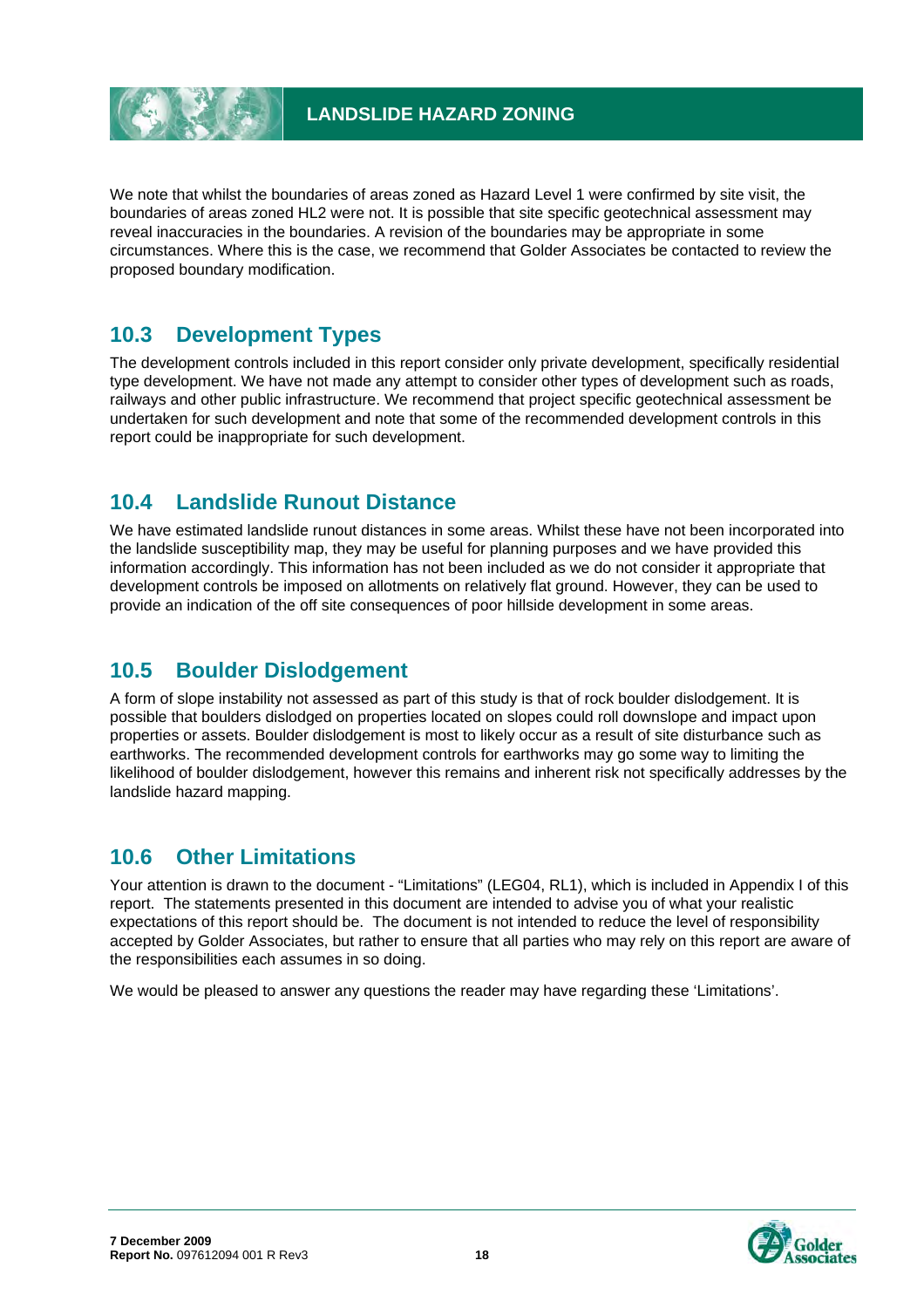

We note that whilst the boundaries of areas zoned as Hazard Level 1 were confirmed by site visit, the boundaries of areas zoned HL2 were not. It is possible that site specific geotechnical assessment may reveal inaccuracies in the boundaries. A revision of the boundaries may be appropriate in some circumstances. Where this is the case, we recommend that Golder Associates be contacted to review the proposed boundary modification.

# **10.3 Development Types**

The development controls included in this report consider only private development, specifically residential type development. We have not made any attempt to consider other types of development such as roads, railways and other public infrastructure. We recommend that project specific geotechnical assessment be undertaken for such development and note that some of the recommended development controls in this report could be inappropriate for such development.

# **10.4 Landslide Runout Distance**

We have estimated landslide runout distances in some areas. Whilst these have not been incorporated into the landslide susceptibility map, they may be useful for planning purposes and we have provided this information accordingly. This information has not been included as we do not consider it appropriate that development controls be imposed on allotments on relatively flat ground. However, they can be used to provide an indication of the off site consequences of poor hillside development in some areas.

# **10.5 Boulder Dislodgement**

A form of slope instability not assessed as part of this study is that of rock boulder dislodgement. It is possible that boulders dislodged on properties located on slopes could roll downslope and impact upon properties or assets. Boulder dislodgement is most to likely occur as a result of site disturbance such as earthworks. The recommended development controls for earthworks may go some way to limiting the likelihood of boulder dislodgement, however this remains and inherent risk not specifically addresses by the landslide hazard mapping.

# **10.6 Other Limitations**

Your attention is drawn to the document - "Limitations" (LEG04, RL1), which is included in Appendix I of this report. The statements presented in this document are intended to advise you of what your realistic expectations of this report should be. The document is not intended to reduce the level of responsibility accepted by Golder Associates, but rather to ensure that all parties who may rely on this report are aware of the responsibilities each assumes in so doing.

We would be pleased to answer any questions the reader may have regarding these 'Limitations'.